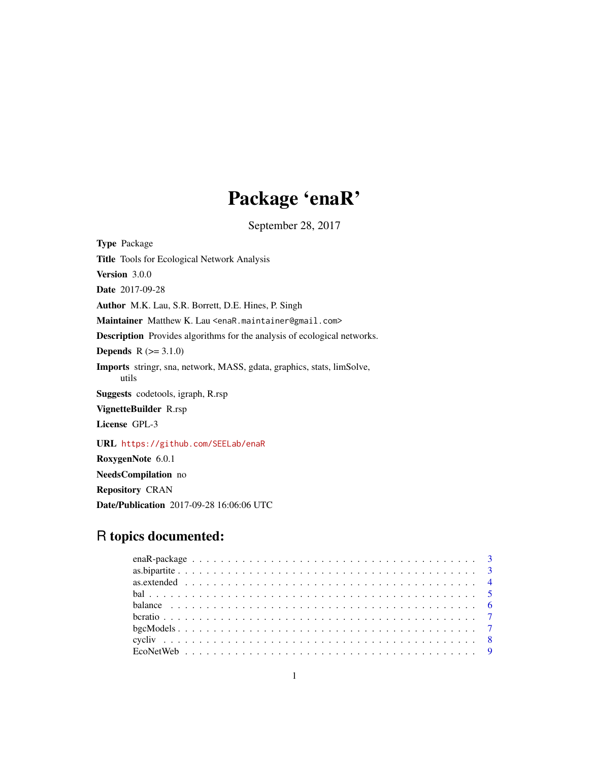# Package 'enaR'

September 28, 2017

<span id="page-0-0"></span>Type Package Title Tools for Ecological Network Analysis Version 3.0.0 Date 2017-09-28 Author M.K. Lau, S.R. Borrett, D.E. Hines, P. Singh Maintainer Matthew K. Lau <enaR.maintainer@gmail.com> Description Provides algorithms for the analysis of ecological networks. **Depends**  $R (=3.1.0)$ Imports stringr, sna, network, MASS, gdata, graphics, stats, limSolve, utils Suggests codetools, igraph, R.rsp VignetteBuilder R.rsp License GPL-3 URL <https://github.com/SEELab/enaR> RoxygenNote 6.0.1 NeedsCompilation no Repository CRAN

Date/Publication 2017-09-28 16:06:06 UTC

## R topics documented: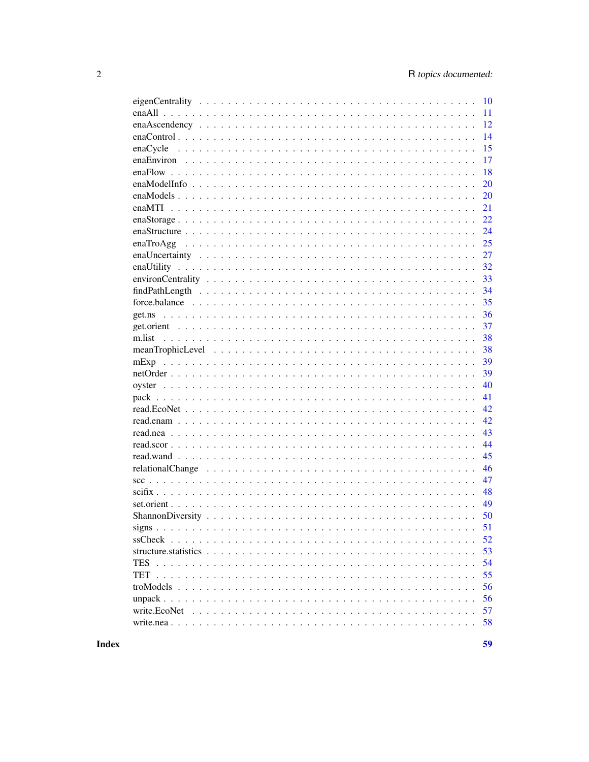| 10 |
|----|
| 11 |
| 12 |
| 14 |
| 15 |
| 17 |
| 18 |
| 20 |
| 20 |
| 21 |
|    |
| 22 |
| 24 |
| 25 |
| 27 |
| 32 |
| 33 |
| 34 |
| 35 |
| 36 |
| 37 |
| 38 |
| 38 |
| 39 |
| 39 |
|    |
| 40 |
| 41 |
| 42 |
| 42 |
| 43 |
| 44 |
| 45 |
| 46 |
| 47 |
| 48 |
| 49 |
| 50 |
| 51 |
| 52 |
|    |
| 53 |
| 54 |
| 55 |
| 56 |
| 56 |
| 57 |
| 58 |
|    |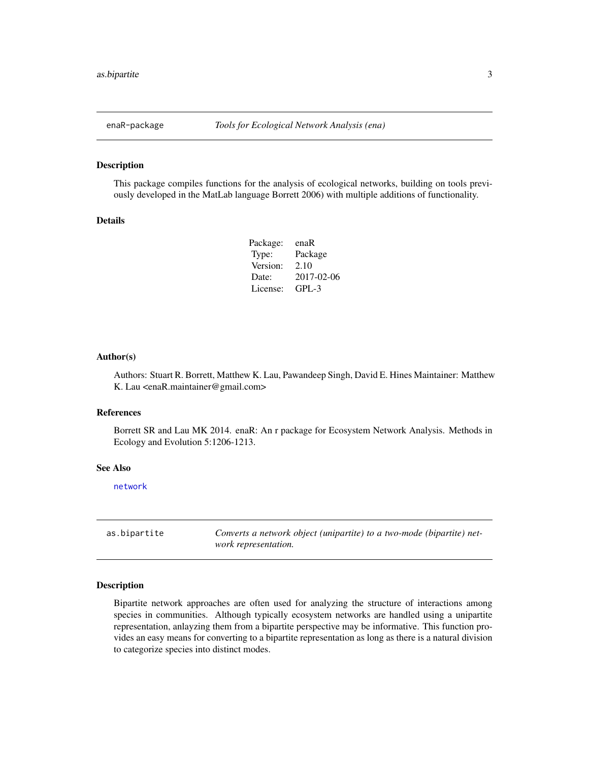<span id="page-2-0"></span>

This package compiles functions for the analysis of ecological networks, building on tools previously developed in the MatLab language Borrett 2006) with multiple additions of functionality.

#### Details

| enaR       |
|------------|
| Package    |
| 2.10       |
| 2017-02-06 |
| $GPI - 3$  |
|            |

#### Author(s)

Authors: Stuart R. Borrett, Matthew K. Lau, Pawandeep Singh, David E. Hines Maintainer: Matthew K. Lau <enaR.maintainer@gmail.com>

### References

Borrett SR and Lau MK 2014. enaR: An r package for Ecosystem Network Analysis. Methods in Ecology and Evolution 5:1206-1213.

#### See Also

[network](#page-0-0)

as.bipartite *Converts a network object (unipartite) to a two-mode (bipartite) network representation.*

#### Description

Bipartite network approaches are often used for analyzing the structure of interactions among species in communities. Although typically ecosystem networks are handled using a unipartite representation, anlayzing them from a bipartite perspective may be informative. This function provides an easy means for converting to a bipartite representation as long as there is a natural division to categorize species into distinct modes.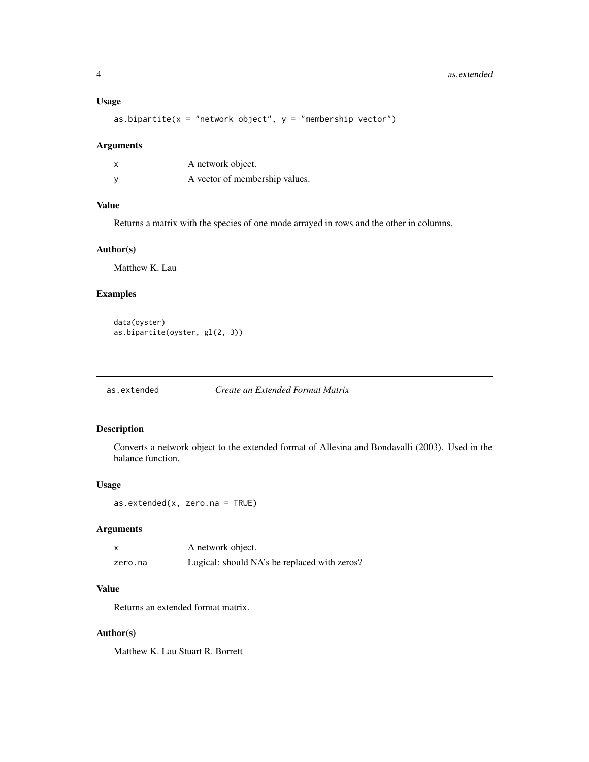## <span id="page-3-0"></span>Usage

as.bipartite( $x =$  "network object",  $y =$  "membership vector")

## Arguments

| A network object.              |
|--------------------------------|
| A vector of membership values. |

## Value

Returns a matrix with the species of one mode arrayed in rows and the other in columns.

## Author(s)

Matthew K. Lau

## Examples

data(oyster) as.bipartite(oyster, gl(2, 3))

as.extended *Create an Extended Format Matrix*

## Description

Converts a network object to the extended format of Allesina and Bondavalli (2003). Used in the balance function.

#### Usage

```
as.extended(x, zero.na = TRUE)
```
## Arguments

|         | A network object.                            |
|---------|----------------------------------------------|
| zero.na | Logical: should NA's be replaced with zeros? |

## Value

Returns an extended format matrix.

## Author(s)

Matthew K. Lau Stuart R. Borrett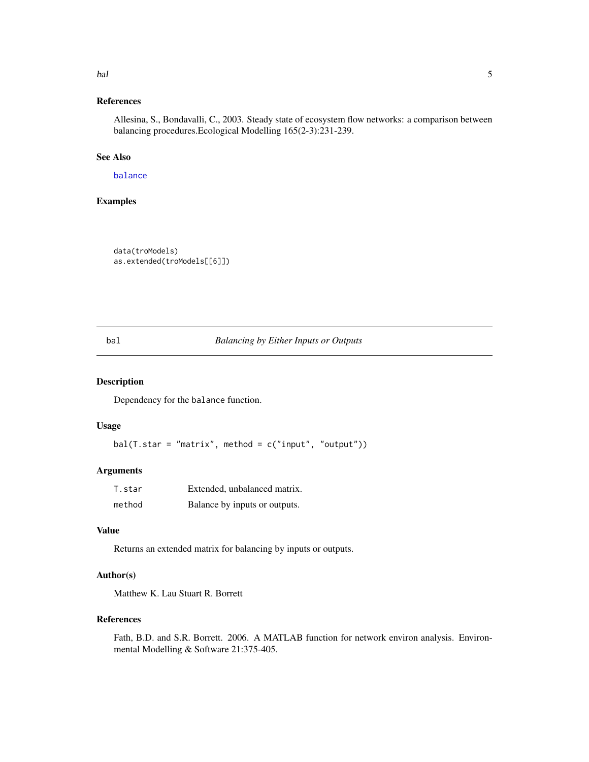#### <span id="page-4-0"></span>bal 5 and 5 and 5 and 5 and 5 and 5 and 5 and 5 and 5 and 5 and 5 and 5 and 5 and 5 and 5 and 5 and 5 and 5 and 5 and 5 and 5 and 5 and 5 and 5 and 5 and 5 and 5 and 5 and 5 and 5 and 5 and 5 and 5 and 5 and 5 and 5 and 5

## References

Allesina, S., Bondavalli, C., 2003. Steady state of ecosystem flow networks: a comparison between balancing procedures.Ecological Modelling 165(2-3):231-239.

#### See Also

[balance](#page-5-1)

## Examples

data(troModels) as.extended(troModels[[6]])

### <span id="page-4-1"></span>bal *Balancing by Either Inputs or Outputs*

## Description

Dependency for the balance function.

## Usage

 $bal(T.start = "matrix", method = c("input", "output"))$ 

## Arguments

| T.star | Extended, unbalanced matrix.  |
|--------|-------------------------------|
| method | Balance by inputs or outputs. |

## Value

Returns an extended matrix for balancing by inputs or outputs.

## Author(s)

Matthew K. Lau Stuart R. Borrett

## References

Fath, B.D. and S.R. Borrett. 2006. A MATLAB function for network environ analysis. Environmental Modelling & Software 21:375-405.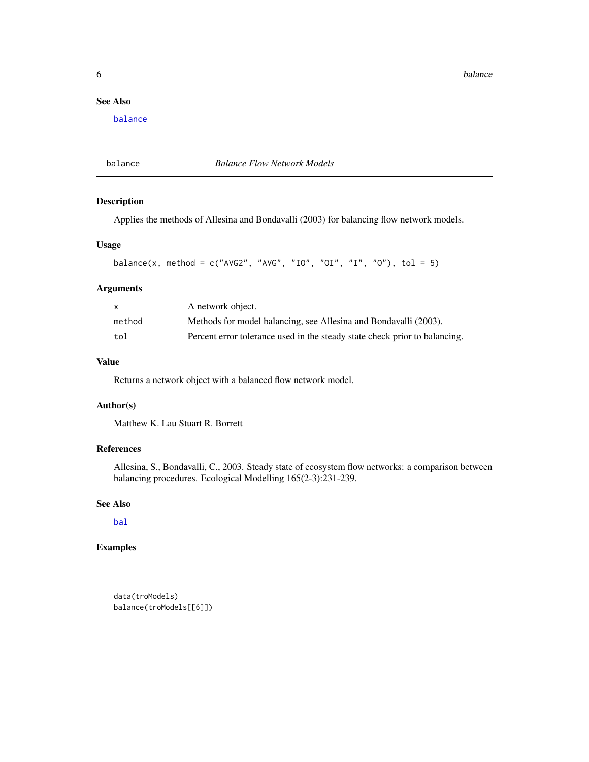<span id="page-5-0"></span>**6** balance **b** balance **b** balance **b** balance **b** balance **b** balance **b** balance

## See Also

[balance](#page-5-1)

<span id="page-5-1"></span>balance *Balance Flow Network Models*

## Description

Applies the methods of Allesina and Bondavalli (2003) for balancing flow network models.

## Usage

```
balance(x, method = c("AVG2", "AVG", "IO", "OI", "I", "O"), tol = 5)
```
## Arguments

| X      | A network object.                                                          |
|--------|----------------------------------------------------------------------------|
| method | Methods for model balancing, see Allesina and Bondavalli (2003).           |
| tol    | Percent error tolerance used in the steady state check prior to balancing. |

## Value

Returns a network object with a balanced flow network model.

## Author(s)

Matthew K. Lau Stuart R. Borrett

## References

Allesina, S., Bondavalli, C., 2003. Steady state of ecosystem flow networks: a comparison between balancing procedures. Ecological Modelling 165(2-3):231-239.

## See Also

[bal](#page-4-1)

## Examples

data(troModels) balance(troModels[[6]])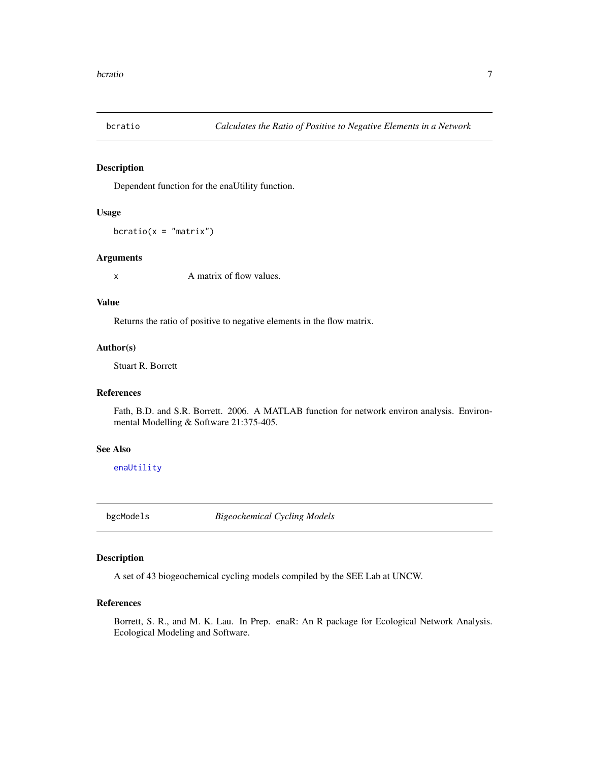<span id="page-6-0"></span>

Dependent function for the enaUtility function.

## Usage

 $bcratio(x = "matrix")$ 

#### Arguments

x A matrix of flow values.

## Value

Returns the ratio of positive to negative elements in the flow matrix.

#### Author(s)

Stuart R. Borrett

## References

Fath, B.D. and S.R. Borrett. 2006. A MATLAB function for network environ analysis. Environmental Modelling & Software 21:375-405.

## See Also

[enaUtility](#page-31-1)

bgcModels *Bigeochemical Cycling Models*

#### Description

A set of 43 biogeochemical cycling models compiled by the SEE Lab at UNCW.

## References

Borrett, S. R., and M. K. Lau. In Prep. enaR: An R package for Ecological Network Analysis. Ecological Modeling and Software.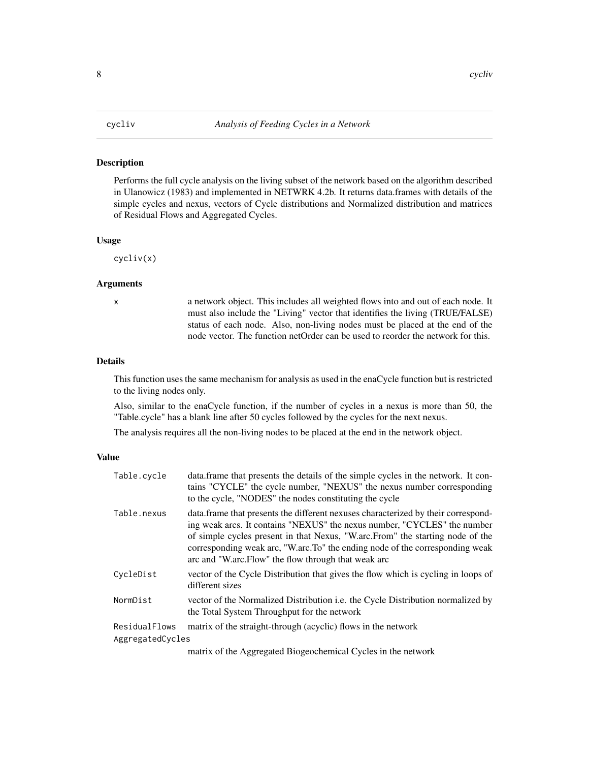<span id="page-7-0"></span>Performs the full cycle analysis on the living subset of the network based on the algorithm described in Ulanowicz (1983) and implemented in NETWRK 4.2b. It returns data.frames with details of the simple cycles and nexus, vectors of Cycle distributions and Normalized distribution and matrices of Residual Flows and Aggregated Cycles.

#### Usage

cycliv(x)

#### Arguments

x a network object. This includes all weighted flows into and out of each node. It must also include the "Living" vector that identifies the living (TRUE/FALSE) status of each node. Also, non-living nodes must be placed at the end of the node vector. The function netOrder can be used to reorder the network for this.

## Details

This function uses the same mechanism for analysis as used in the enaCycle function but is restricted to the living nodes only.

Also, similar to the enaCycle function, if the number of cycles in a nexus is more than 50, the "Table.cycle" has a blank line after 50 cycles followed by the cycles for the next nexus.

The analysis requires all the non-living nodes to be placed at the end in the network object.

#### Value

| Table.cycle                       | data.frame that presents the details of the simple cycles in the network. It con-<br>tains "CYCLE" the cycle number, "NEXUS" the nexus number corresponding<br>to the cycle, "NODES" the nodes constituting the cycle                                                                                                                                                                 |
|-----------------------------------|---------------------------------------------------------------------------------------------------------------------------------------------------------------------------------------------------------------------------------------------------------------------------------------------------------------------------------------------------------------------------------------|
| Table.nexus                       | data. frame that presents the different nexuses characterized by their correspond-<br>ing weak arcs. It contains "NEXUS" the nexus number, "CYCLES" the number<br>of simple cycles present in that Nexus, "Warc.From" the starting node of the<br>corresponding weak arc, "W.arc.To" the ending node of the corresponding weak<br>arc and "W.arc.Flow" the flow through that weak arc |
| CycleDist                         | vector of the Cycle Distribution that gives the flow which is cycling in loops of<br>different sizes                                                                                                                                                                                                                                                                                  |
| NormDist                          | vector of the Normalized Distribution <i>i.e.</i> the Cycle Distribution normalized by<br>the Total System Throughput for the network                                                                                                                                                                                                                                                 |
| ResidualFlows<br>AggregatedCycles | matrix of the straight-through (acyclic) flows in the network                                                                                                                                                                                                                                                                                                                         |
|                                   | matrix of the Agencested Diographemical Cycles in the natural-                                                                                                                                                                                                                                                                                                                        |

matrix of the Aggregated Biogeochemical Cycles in the network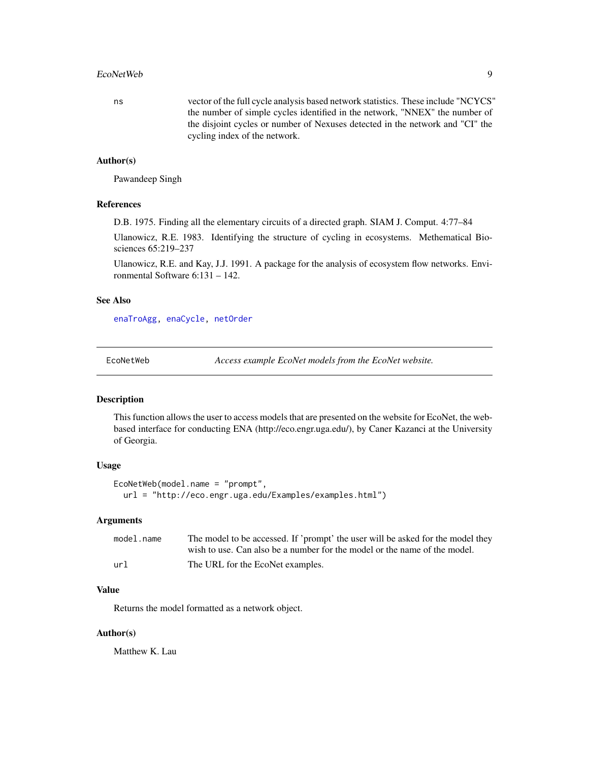#### <span id="page-8-0"></span>EcoNetWeb 9

ns vector of the full cycle analysis based network statistics. These include "NCYCS" the number of simple cycles identified in the network, "NNEX" the number of the disjoint cycles or number of Nexuses detected in the network and "CI" the cycling index of the network.

#### Author(s)

Pawandeep Singh

### References

D.B. 1975. Finding all the elementary circuits of a directed graph. SIAM J. Comput. 4:77–84

Ulanowicz, R.E. 1983. Identifying the structure of cycling in ecosystems. Methematical Biosciences 65:219–237

Ulanowicz, R.E. and Kay, J.J. 1991. A package for the analysis of ecosystem flow networks. Environmental Software 6:131 – 142.

## See Also

[enaTroAgg,](#page-24-1) [enaCycle,](#page-14-1) [netOrder](#page-38-1)

<span id="page-8-1"></span>EcoNetWeb *Access example EcoNet models from the EcoNet website.*

#### Description

This function allows the user to access models that are presented on the website for EcoNet, the webbased interface for conducting ENA (http://eco.engr.uga.edu/), by Caner Kazanci at the University of Georgia.

## Usage

```
EcoNetWeb(model.name = "prompt",
  url = "http://eco.engr.uga.edu/Examples/examples.html")
```
## Arguments

| model.name | The model to be accessed. If 'prompt' the user will be asked for the model they |
|------------|---------------------------------------------------------------------------------|
|            | wish to use. Can also be a number for the model or the name of the model.       |
| url        | The URL for the EcoNet examples.                                                |

## Value

Returns the model formatted as a network object.

#### Author(s)

Matthew K. Lau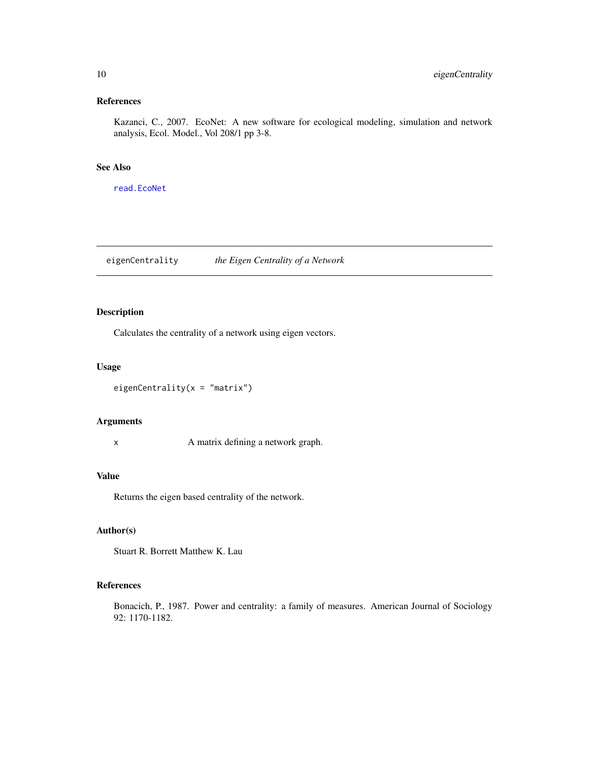## <span id="page-9-0"></span>References

Kazanci, C., 2007. EcoNet: A new software for ecological modeling, simulation and network analysis, Ecol. Model., Vol 208/1 pp 3-8.

## See Also

[read.EcoNet](#page-41-1)

eigenCentrality *the Eigen Centrality of a Network*

## Description

Calculates the centrality of a network using eigen vectors.

## Usage

```
eigenCentrality(x = "matrix")
```
#### Arguments

x A matrix defining a network graph.

## Value

Returns the eigen based centrality of the network.

## Author(s)

Stuart R. Borrett Matthew K. Lau

## References

Bonacich, P., 1987. Power and centrality: a family of measures. American Journal of Sociology 92: 1170-1182.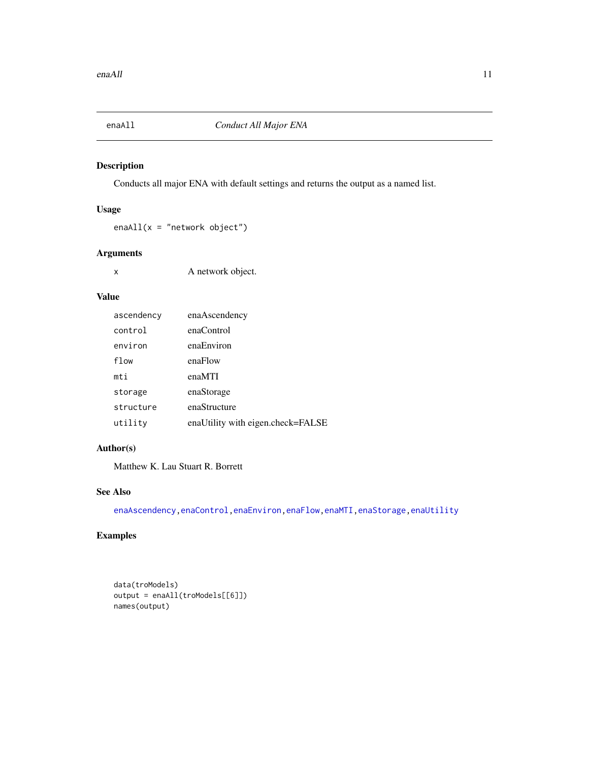<span id="page-10-0"></span>

Conducts all major ENA with default settings and returns the output as a named list.

## Usage

 $enaAll(x = "network object")$ 

## Arguments

x A network object.

## Value

| ascendency | enaAscendency                     |
|------------|-----------------------------------|
| control    | enaControl                        |
| environ    | enaEnviron                        |
| flow       | enaFlow                           |
| mti        | enaMTI                            |
| storage    | enaStorage                        |
| structure  | enaStructure                      |
| utility    | enaUtility with eigen.check=FALSE |

## Author(s)

Matthew K. Lau Stuart R. Borrett

## See Also

[enaAscendency](#page-11-1)[,enaControl,](#page-13-1)[enaEnviron,](#page-16-1)[enaFlow,](#page-17-1)[enaMTI](#page-20-1)[,enaStorage](#page-21-1)[,enaUtility](#page-31-1)

## Examples

```
data(troModels)
output = enaAll(troModels[[6]])
names(output)
```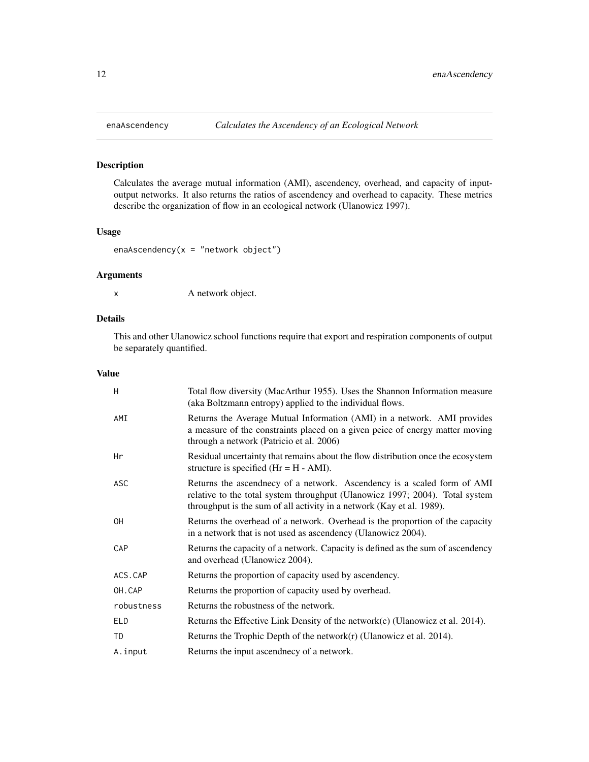<span id="page-11-1"></span><span id="page-11-0"></span>

Calculates the average mutual information (AMI), ascendency, overhead, and capacity of inputoutput networks. It also returns the ratios of ascendency and overhead to capacity. These metrics describe the organization of flow in an ecological network (Ulanowicz 1997).

## Usage

enaAscendency( $x =$  "network object")

## Arguments

x A network object.

## Details

This and other Ulanowicz school functions require that export and respiration components of output be separately quantified.

## Value

| H          | Total flow diversity (MacArthur 1955). Uses the Shannon Information measure<br>(aka Boltzmann entropy) applied to the individual flows.                                                                                          |
|------------|----------------------------------------------------------------------------------------------------------------------------------------------------------------------------------------------------------------------------------|
| AMI        | Returns the Average Mutual Information (AMI) in a network. AMI provides<br>a measure of the constraints placed on a given peice of energy matter moving<br>through a network (Patricio et al. 2006)                              |
| Hr         | Residual uncertainty that remains about the flow distribution once the ecosystem<br>structure is specified $(Hr = H - AMI)$ .                                                                                                    |
| ASC        | Returns the ascendnecy of a network. Ascendency is a scaled form of AMI<br>relative to the total system throughput (Ulanowicz 1997; 2004). Total system<br>throughput is the sum of all activity in a network (Kay et al. 1989). |
| 0H         | Returns the overhead of a network. Overhead is the proportion of the capacity<br>in a network that is not used as ascendency (Ulanowicz 2004).                                                                                   |
| CAP        | Returns the capacity of a network. Capacity is defined as the sum of ascendency<br>and overhead (Ulanowicz 2004).                                                                                                                |
| ACS.CAP    | Returns the proportion of capacity used by ascendency.                                                                                                                                                                           |
| OH.CAP     | Returns the proportion of capacity used by overhead.                                                                                                                                                                             |
| robustness | Returns the robustness of the network.                                                                                                                                                                                           |
| <b>ELD</b> | Returns the Effective Link Density of the network $(c)$ (Ulanowicz et al. 2014).                                                                                                                                                 |
| <b>TD</b>  | Returns the Trophic Depth of the network $(r)$ (Ulanowicz et al. 2014).                                                                                                                                                          |
| A.input    | Returns the input ascendnecy of a network.                                                                                                                                                                                       |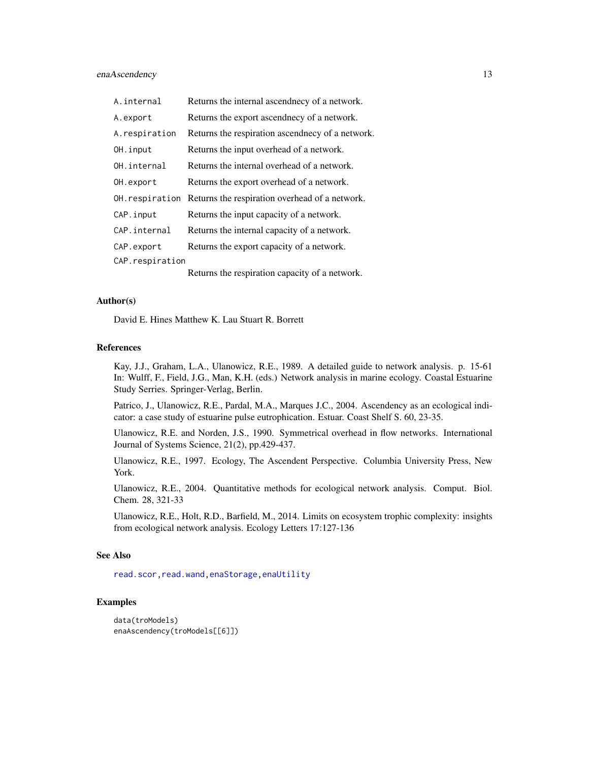<span id="page-12-0"></span>enaAscendency 13

| A.internal      | Returns the internal ascendnecy of a network.    |
|-----------------|--------------------------------------------------|
| A.export        | Returns the export ascendnecy of a network.      |
| A.respiration   | Returns the respiration ascendnecy of a network. |
| OH.input        | Returns the input overhead of a network.         |
| OH. internal    | Returns the internal overhead of a network.      |
| OH.export       | Returns the export overhead of a network.        |
| OH.respiration  | Returns the respiration overhead of a network.   |
| CAP.input       | Returns the input capacity of a network.         |
| CAP.internal    | Returns the internal capacity of a network.      |
| CAP.export      | Returns the export capacity of a network.        |
| CAP.respiration |                                                  |
|                 | Returns the respiration capacity of a network.   |

## Author(s)

David E. Hines Matthew K. Lau Stuart R. Borrett

#### References

Kay, J.J., Graham, L.A., Ulanowicz, R.E., 1989. A detailed guide to network analysis. p. 15-61 In: Wulff, F., Field, J.G., Man, K.H. (eds.) Network analysis in marine ecology. Coastal Estuarine Study Serries. Springer-Verlag, Berlin.

Patrico, J., Ulanowicz, R.E., Pardal, M.A., Marques J.C., 2004. Ascendency as an ecological indicator: a case study of estuarine pulse eutrophication. Estuar. Coast Shelf S. 60, 23-35.

Ulanowicz, R.E. and Norden, J.S., 1990. Symmetrical overhead in flow networks. International Journal of Systems Science, 21(2), pp.429-437.

Ulanowicz, R.E., 1997. Ecology, The Ascendent Perspective. Columbia University Press, New York.

Ulanowicz, R.E., 2004. Quantitative methods for ecological network analysis. Comput. Biol. Chem. 28, 321-33

Ulanowicz, R.E., Holt, R.D., Barfield, M., 2014. Limits on ecosystem trophic complexity: insights from ecological network analysis. Ecology Letters 17:127-136

## See Also

[read.scor](#page-43-1), read.wand, [enaStorage,](#page-21-1) [enaUtility](#page-31-1)

## Examples

```
data(troModels)
enaAscendency(troModels[[6]])
```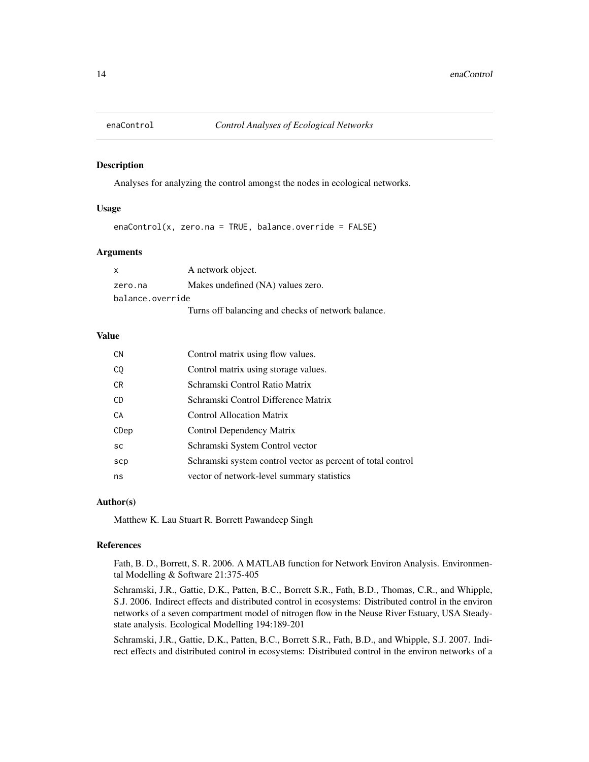<span id="page-13-1"></span><span id="page-13-0"></span>

Analyses for analyzing the control amongst the nodes in ecological networks.

#### Usage

 $enaControl(x, zero.na = TRUE, balance-override = FALSE)$ 

## Arguments

| $\mathsf{x}$     | A network object.                                  |  |
|------------------|----------------------------------------------------|--|
| zero.na          | Makes undefined (NA) values zero.                  |  |
| balance.override |                                                    |  |
|                  | Turns off balancing and checks of network balance. |  |

## Value

| <b>CN</b> | Control matrix using flow values.                           |
|-----------|-------------------------------------------------------------|
| CQ        | Control matrix using storage values.                        |
| CR.       | Schramski Control Ratio Matrix                              |
| CD.       | Schramski Control Difference Matrix                         |
| CA        | <b>Control Allocation Matrix</b>                            |
| CDep      | Control Dependency Matrix                                   |
| <b>SC</b> | Schramski System Control vector                             |
| scp       | Schramski system control vector as percent of total control |
| ns        | vector of network-level summary statistics                  |

#### Author(s)

Matthew K. Lau Stuart R. Borrett Pawandeep Singh

#### References

Fath, B. D., Borrett, S. R. 2006. A MATLAB function for Network Environ Analysis. Environmental Modelling & Software 21:375-405

Schramski, J.R., Gattie, D.K., Patten, B.C., Borrett S.R., Fath, B.D., Thomas, C.R., and Whipple, S.J. 2006. Indirect effects and distributed control in ecosystems: Distributed control in the environ networks of a seven compartment model of nitrogen flow in the Neuse River Estuary, USA Steadystate analysis. Ecological Modelling 194:189-201

Schramski, J.R., Gattie, D.K., Patten, B.C., Borrett S.R., Fath, B.D., and Whipple, S.J. 2007. Indirect effects and distributed control in ecosystems: Distributed control in the environ networks of a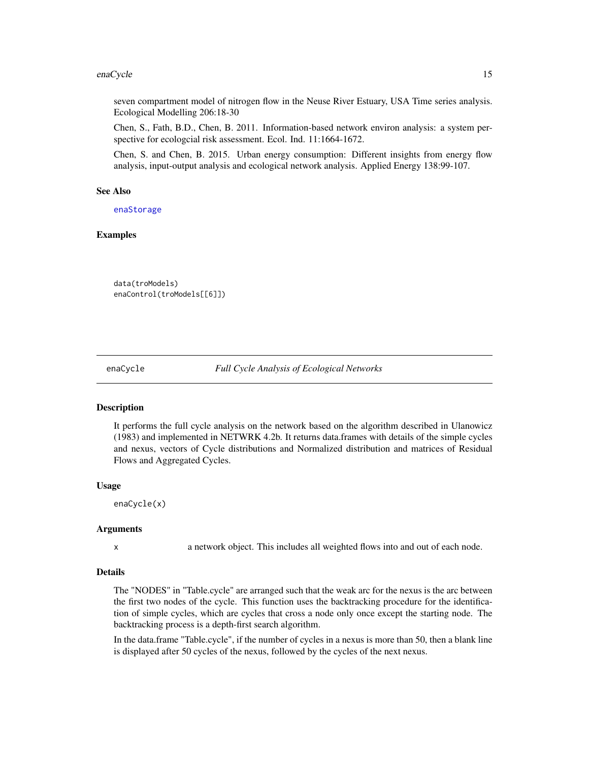#### <span id="page-14-0"></span>enaCycle 15

seven compartment model of nitrogen flow in the Neuse River Estuary, USA Time series analysis. Ecological Modelling 206:18-30

Chen, S., Fath, B.D., Chen, B. 2011. Information-based network environ analysis: a system perspective for ecologcial risk assessment. Ecol. Ind. 11:1664-1672.

Chen, S. and Chen, B. 2015. Urban energy consumption: Different insights from energy flow analysis, input-output analysis and ecological network analysis. Applied Energy 138:99-107.

## See Also

[enaStorage](#page-21-1)

#### Examples

```
data(troModels)
enaControl(troModels[[6]])
```
<span id="page-14-1"></span>

enaCycle *Full Cycle Analysis of Ecological Networks*

#### Description

It performs the full cycle analysis on the network based on the algorithm described in Ulanowicz (1983) and implemented in NETWRK 4.2b. It returns data.frames with details of the simple cycles and nexus, vectors of Cycle distributions and Normalized distribution and matrices of Residual Flows and Aggregated Cycles.

#### Usage

enaCycle(x)

#### Arguments

x a network object. This includes all weighted flows into and out of each node.

#### Details

The "NODES" in "Table.cycle" are arranged such that the weak arc for the nexus is the arc between the first two nodes of the cycle. This function uses the backtracking procedure for the identification of simple cycles, which are cycles that cross a node only once except the starting node. The backtracking process is a depth-first search algorithm.

In the data.frame "Table.cycle", if the number of cycles in a nexus is more than 50, then a blank line is displayed after 50 cycles of the nexus, followed by the cycles of the next nexus.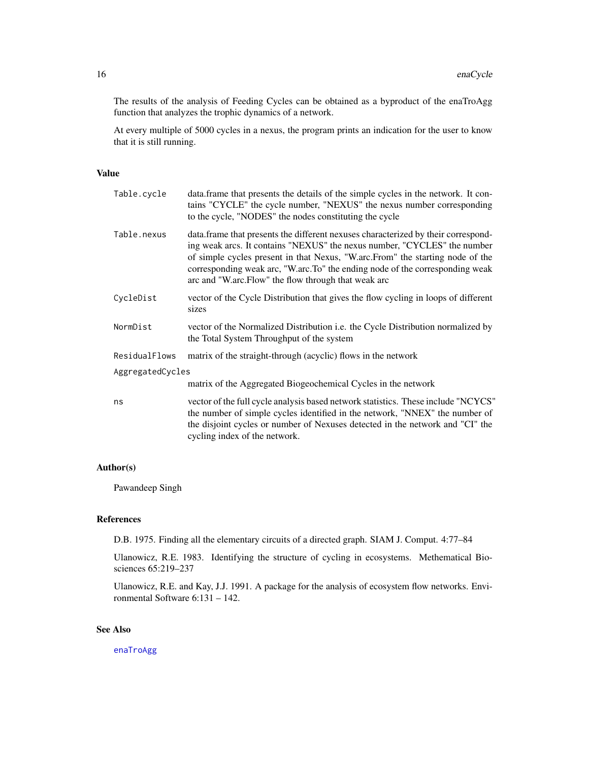<span id="page-15-0"></span>The results of the analysis of Feeding Cycles can be obtained as a byproduct of the enaTroAgg function that analyzes the trophic dynamics of a network.

At every multiple of 5000 cycles in a nexus, the program prints an indication for the user to know that it is still running.

#### Value

| Table.cycle      | data.frame that presents the details of the simple cycles in the network. It con-<br>tains "CYCLE" the cycle number, "NEXUS" the nexus number corresponding<br>to the cycle, "NODES" the nodes constituting the cycle                                                                                                                                                                 |
|------------------|---------------------------------------------------------------------------------------------------------------------------------------------------------------------------------------------------------------------------------------------------------------------------------------------------------------------------------------------------------------------------------------|
| Table.nexus      | data.frame that presents the different nexuses characterized by their correspond-<br>ing weak arcs. It contains "NEXUS" the nexus number, "CYCLES" the number<br>of simple cycles present in that Nexus, "W.arc.From" the starting node of the<br>corresponding weak arc, "W.arc.To" the ending node of the corresponding weak<br>arc and "W.arc.Flow" the flow through that weak arc |
| CycleDist        | vector of the Cycle Distribution that gives the flow cycling in loops of different<br>sizes                                                                                                                                                                                                                                                                                           |
| NormDist         | vector of the Normalized Distribution i.e. the Cycle Distribution normalized by<br>the Total System Throughput of the system                                                                                                                                                                                                                                                          |
| ResidualFlows    | matrix of the straight-through (acyclic) flows in the network                                                                                                                                                                                                                                                                                                                         |
| AggregatedCycles |                                                                                                                                                                                                                                                                                                                                                                                       |
|                  | matrix of the Aggregated Biogeochemical Cycles in the network                                                                                                                                                                                                                                                                                                                         |
| ns               | vector of the full cycle analysis based network statistics. These include "NCYCS"<br>the number of simple cycles identified in the network, "NNEX" the number of<br>the disjoint cycles or number of Nexuses detected in the network and "CI" the<br>cycling index of the network.                                                                                                    |

## Author(s)

Pawandeep Singh

## References

D.B. 1975. Finding all the elementary circuits of a directed graph. SIAM J. Comput. 4:77–84

Ulanowicz, R.E. 1983. Identifying the structure of cycling in ecosystems. Methematical Biosciences 65:219–237

Ulanowicz, R.E. and Kay, J.J. 1991. A package for the analysis of ecosystem flow networks. Environmental Software 6:131 – 142.

## See Also

[enaTroAgg](#page-24-1)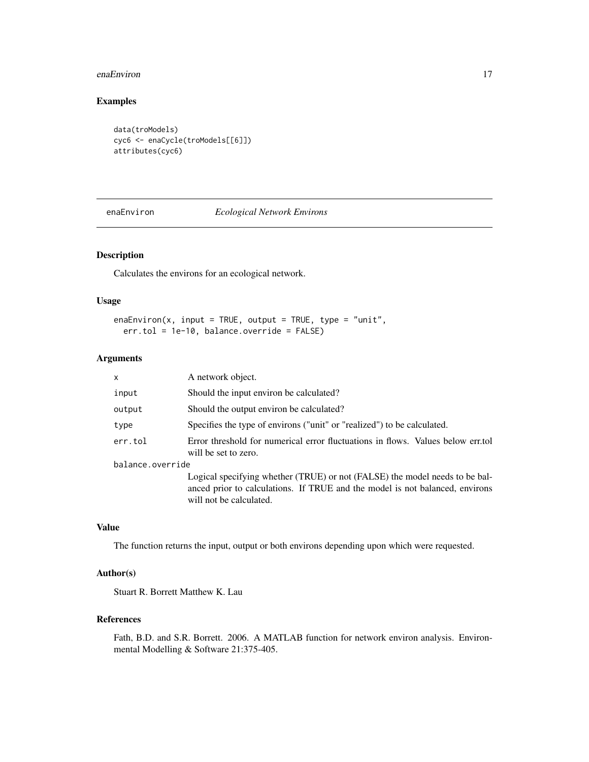#### <span id="page-16-0"></span>enaEnviron 17

## Examples

```
data(troModels)
cyc6 <- enaCycle(troModels[[6]])
attributes(cyc6)
```
<span id="page-16-1"></span>enaEnviron *Ecological Network Environs*

## Description

Calculates the environs for an ecological network.

## Usage

enaEnviron(x, input = TRUE, output = TRUE, type = "unit", err.tol = 1e-10, balance.override = FALSE)

#### Arguments

| x                | A network object.                                                                                                                                                                      |  |
|------------------|----------------------------------------------------------------------------------------------------------------------------------------------------------------------------------------|--|
| input            | Should the input environ be calculated?                                                                                                                                                |  |
| output           | Should the output environ be calculated?                                                                                                                                               |  |
| type             | Specifies the type of environs ("unit" or "realized") to be calculated.                                                                                                                |  |
| err.tol          | Error threshold for numerical error fluctuations in flows. Values below err.tol<br>will be set to zero.                                                                                |  |
| balance.override |                                                                                                                                                                                        |  |
|                  | Logical specifying whether (TRUE) or not (FALSE) the model needs to be bal-<br>anced prior to calculations. If TRUE and the model is not balanced, environs<br>will not be calculated. |  |
|                  |                                                                                                                                                                                        |  |

## Value

The function returns the input, output or both environs depending upon which were requested.

#### Author(s)

Stuart R. Borrett Matthew K. Lau

## References

Fath, B.D. and S.R. Borrett. 2006. A MATLAB function for network environ analysis. Environmental Modelling & Software 21:375-405.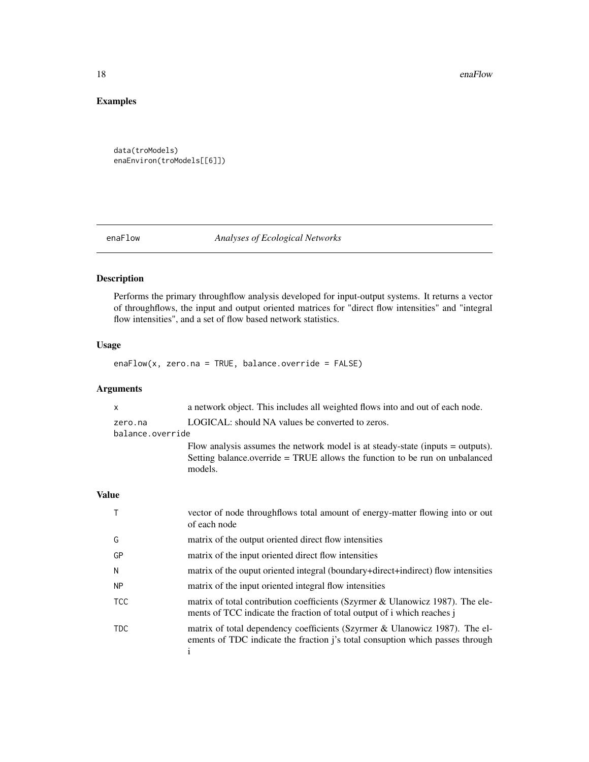<span id="page-17-0"></span>18 enaFlow enaFlow

## Examples

```
data(troModels)
enaEnviron(troModels[[6]])
```
## <span id="page-17-1"></span>enaFlow *Analyses of Ecological Networks*

## Description

Performs the primary throughflow analysis developed for input-output systems. It returns a vector of throughflows, the input and output oriented matrices for "direct flow intensities" and "integral flow intensities", and a set of flow based network statistics.

## Usage

enaFlow(x, zero.na = TRUE, balance.override = FALSE)

## Arguments

|              | X                | a network object. This includes all weighted flows into and out of each node.                                                                                            |
|--------------|------------------|--------------------------------------------------------------------------------------------------------------------------------------------------------------------------|
|              | zero.na          | LOGICAL: should NA values be converted to zeros.                                                                                                                         |
|              | balance.override |                                                                                                                                                                          |
|              |                  | Flow analysis assumes the network model is at steady-state (inputs = outputs).<br>Setting balance.override = TRUE allows the function to be run on unbalanced<br>models. |
| <b>Value</b> |                  |                                                                                                                                                                          |
|              | Τ                | vector of node throughflows total amount of energy-matter flowing into or out<br>of each node                                                                            |
|              | G                | matrix of the output oriented direct flow intensities                                                                                                                    |
|              | GP               | matrix of the input oriented direct flow intensities                                                                                                                     |
|              | N                | matrix of the ouput oriented integral (boundary+direct+indirect) flow intensities                                                                                        |
|              | <b>NP</b>        | matrix of the input oriented integral flow intensities                                                                                                                   |
|              | <b>TCC</b>       | matrix of total contribution coefficients (Szyrmer & Ulanowicz 1987). The ele-<br>ments of TCC indicate the fraction of total output of i which reaches j                |
|              | <b>TDC</b>       | matrix of total dependency coefficients (Szyrmer & Ulanowicz 1987). The el-<br>ements of TDC indicate the fraction j's total consuption which passes through<br>1        |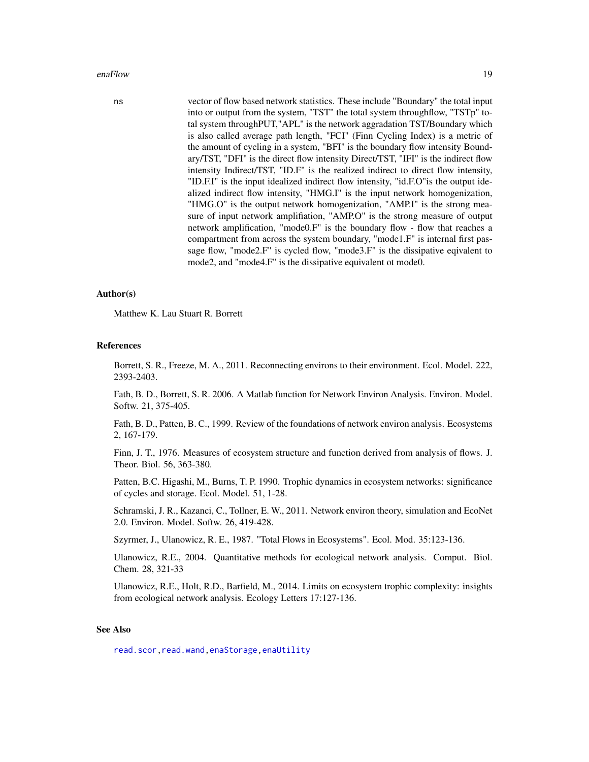#### <span id="page-18-0"></span>enaFlow 19

ns vector of flow based network statistics. These include "Boundary" the total input into or output from the system, "TST" the total system throughflow, "TSTp" total system throughPUT,"APL" is the network aggradation TST/Boundary which is also called average path length, "FCI" (Finn Cycling Index) is a metric of the amount of cycling in a system, "BFI" is the boundary flow intensity Boundary/TST, "DFI" is the direct flow intensity Direct/TST, "IFI" is the indirect flow intensity Indirect/TST, "ID.F" is the realized indirect to direct flow intensity, "ID.F.I" is the input idealized indirect flow intensity, "id.F.O"is the output idealized indirect flow intensity, "HMG.I" is the input network homogenization, "HMG.O" is the output network homogenization, "AMP.I" is the strong measure of input network amplifiation, "AMP.O" is the strong measure of output network amplification, "mode0.F" is the boundary flow - flow that reaches a compartment from across the system boundary, "mode1.F" is internal first passage flow, "mode2.F" is cycled flow, "mode3.F" is the dissipative eqivalent to mode2, and "mode4.F" is the dissipative equivalent ot mode0.

#### Author(s)

Matthew K. Lau Stuart R. Borrett

#### References

Borrett, S. R., Freeze, M. A., 2011. Reconnecting environs to their environment. Ecol. Model. 222, 2393-2403.

Fath, B. D., Borrett, S. R. 2006. A Matlab function for Network Environ Analysis. Environ. Model. Softw. 21, 375-405.

Fath, B. D., Patten, B. C., 1999. Review of the foundations of network environ analysis. Ecosystems 2, 167-179.

Finn, J. T., 1976. Measures of ecosystem structure and function derived from analysis of flows. J. Theor. Biol. 56, 363-380.

Patten, B.C. Higashi, M., Burns, T. P. 1990. Trophic dynamics in ecosystem networks: significance of cycles and storage. Ecol. Model. 51, 1-28.

Schramski, J. R., Kazanci, C., Tollner, E. W., 2011. Network environ theory, simulation and EcoNet 2.0. Environ. Model. Softw. 26, 419-428.

Szyrmer, J., Ulanowicz, R. E., 1987. "Total Flows in Ecosystems". Ecol. Mod. 35:123-136.

Ulanowicz, R.E., 2004. Quantitative methods for ecological network analysis. Comput. Biol. Chem. 28, 321-33

Ulanowicz, R.E., Holt, R.D., Barfield, M., 2014. Limits on ecosystem trophic complexity: insights from ecological network analysis. Ecology Letters 17:127-136.

#### See Also

[read.scor](#page-43-1)[,read.wand,](#page-44-1)[enaStorage,](#page-21-1)[enaUtility](#page-31-1)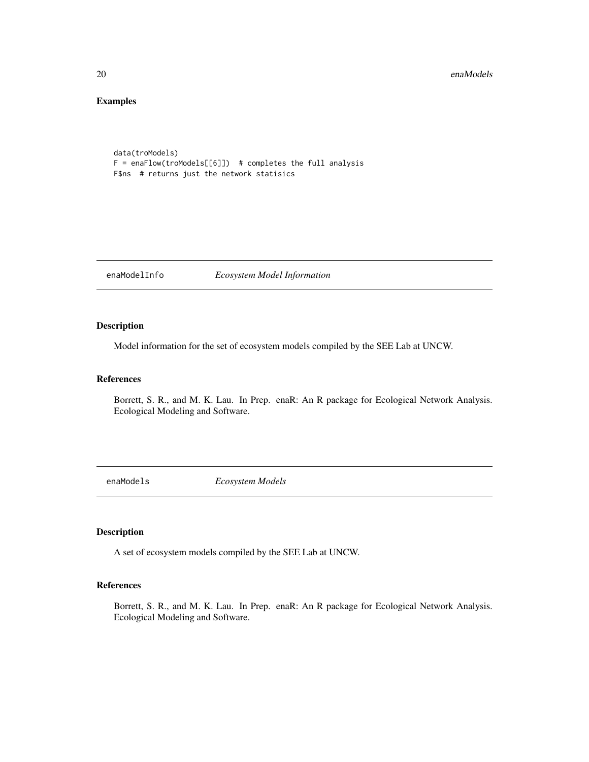#### 20 enaModels and the contract of the contract of the contract of the contract of the contract of the contract of the contract of the contract of the contract of the contract of the contract of the contract of the contract

## Examples

```
data(troModels)
F = enaFlow(troModels[[6]]) # completes the full analysis
F$ns # returns just the network statisics
```
enaModelInfo *Ecosystem Model Information*

## Description

Model information for the set of ecosystem models compiled by the SEE Lab at UNCW.

## References

Borrett, S. R., and M. K. Lau. In Prep. enaR: An R package for Ecological Network Analysis. Ecological Modeling and Software.

enaModels *Ecosystem Models*

## Description

A set of ecosystem models compiled by the SEE Lab at UNCW.

## References

Borrett, S. R., and M. K. Lau. In Prep. enaR: An R package for Ecological Network Analysis. Ecological Modeling and Software.

<span id="page-19-0"></span>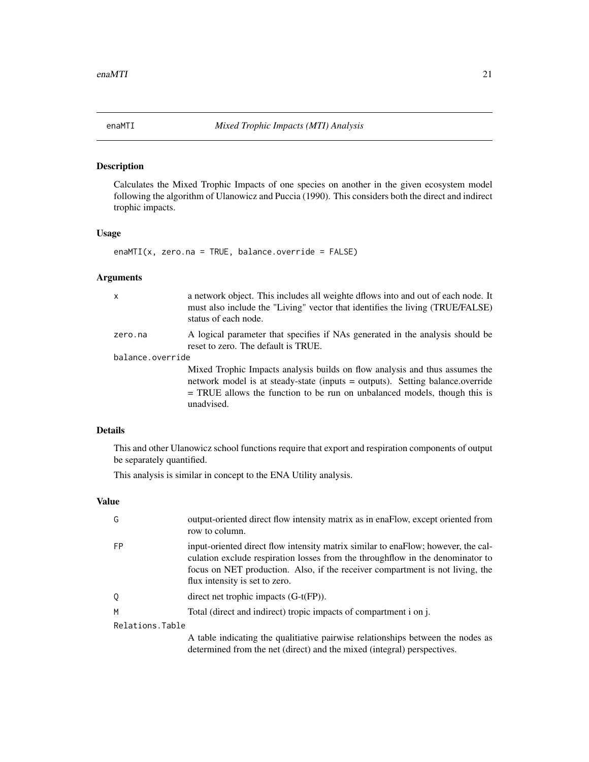<span id="page-20-1"></span><span id="page-20-0"></span>

Calculates the Mixed Trophic Impacts of one species on another in the given ecosystem model following the algorithm of Ulanowicz and Puccia (1990). This considers both the direct and indirect trophic impacts.

## Usage

enaMTI(x, zero.na = TRUE, balance.override = FALSE)

## Arguments

| $\mathsf{x}$     | a network object. This includes all weighte distortion and out of each node. It<br>must also include the "Living" vector that identifies the living (TRUE/FALSE)<br>status of each node.                                                                  |  |
|------------------|-----------------------------------------------------------------------------------------------------------------------------------------------------------------------------------------------------------------------------------------------------------|--|
| zero.na          | A logical parameter that specifies if NAs generated in the analysis should be<br>reset to zero. The default is TRUE.                                                                                                                                      |  |
| balance.override |                                                                                                                                                                                                                                                           |  |
|                  | Mixed Trophic Impacts analysis builds on flow analysis and thus assumes the<br>network model is at steady-state (inputs = outputs). Setting balance.override<br>$=$ TRUE allows the function to be run on unbalanced models, though this is<br>unadvised. |  |

## Details

This and other Ulanowicz school functions require that export and respiration components of output be separately quantified.

This analysis is similar in concept to the ENA Utility analysis.

## Value

| G               | output-oriented direct flow intensity matrix as in enaFlow, except oriented from<br>row to column.                                                                                                                                                                                     |
|-----------------|----------------------------------------------------------------------------------------------------------------------------------------------------------------------------------------------------------------------------------------------------------------------------------------|
| <b>FP</b>       | input-oriented direct flow intensity matrix similar to enaFlow; however, the cal-<br>culation exclude respiration losses from the throughflow in the denominator to<br>focus on NET production. Also, if the receiver compartment is not living, the<br>flux intensity is set to zero. |
| 0               | direct net trophic impacts $(G-t(FP))$ .                                                                                                                                                                                                                                               |
| M               | Total (direct and indirect) tropic impacts of compartment i on j.                                                                                                                                                                                                                      |
| Relations.Table |                                                                                                                                                                                                                                                                                        |
|                 | A table indicating the qualitiative pairwise relationships between the nodes as<br>determined from the net (direct) and the mixed (integral) perspectives.                                                                                                                             |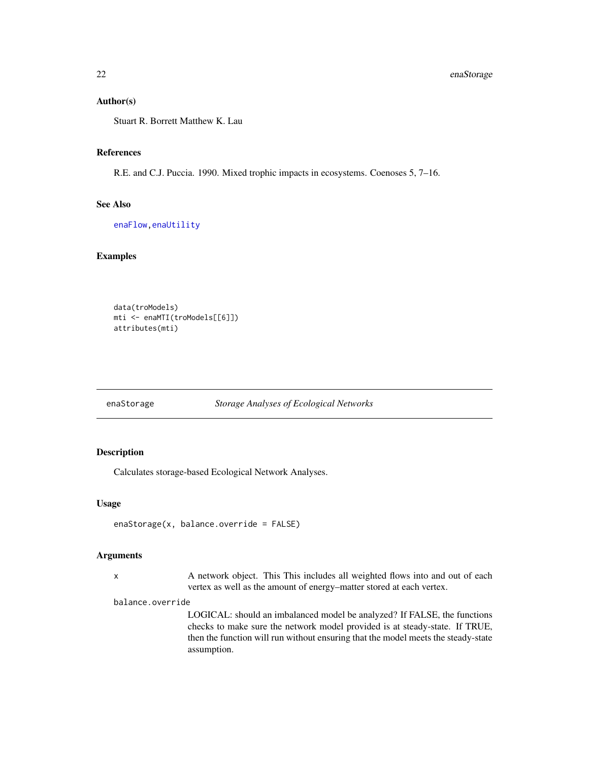#### <span id="page-21-0"></span>Author(s)

Stuart R. Borrett Matthew K. Lau

#### References

R.E. and C.J. Puccia. 1990. Mixed trophic impacts in ecosystems. Coenoses 5, 7–16.

#### See Also

[enaFlow](#page-17-1)[,enaUtility](#page-31-1)

#### Examples

```
data(troModels)
mti <- enaMTI(troModels[[6]])
attributes(mti)
```
#### <span id="page-21-1"></span>enaStorage *Storage Analyses of Ecological Networks*

## Description

Calculates storage-based Ecological Network Analyses.

## Usage

```
enaStorage(x, balance.override = FALSE)
```
### Arguments

x A network object. This This includes all weighted flows into and out of each vertex as well as the amount of energy–matter stored at each vertex.

#### balance.override

LOGICAL: should an imbalanced model be analyzed? If FALSE, the functions checks to make sure the network model provided is at steady-state. If TRUE, then the function will run without ensuring that the model meets the steady-state assumption.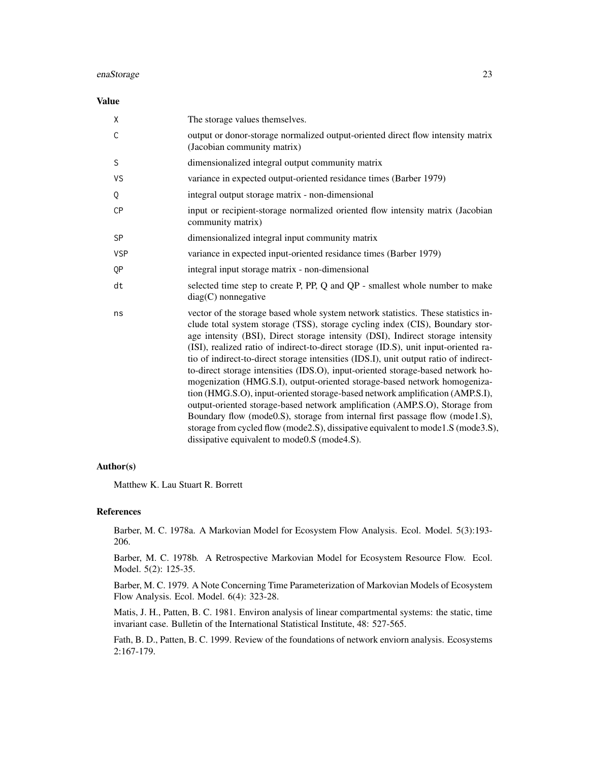#### Value

| X            | The storage values themselves.                                                                                                                                                                                                                                                                                                                                                                                                                                                                                                                                                                                                                                                                                                                                                                                                                                                                                                                                                            |
|--------------|-------------------------------------------------------------------------------------------------------------------------------------------------------------------------------------------------------------------------------------------------------------------------------------------------------------------------------------------------------------------------------------------------------------------------------------------------------------------------------------------------------------------------------------------------------------------------------------------------------------------------------------------------------------------------------------------------------------------------------------------------------------------------------------------------------------------------------------------------------------------------------------------------------------------------------------------------------------------------------------------|
| $\mathsf{C}$ | output or donor-storage normalized output-oriented direct flow intensity matrix<br>(Jacobian community matrix)                                                                                                                                                                                                                                                                                                                                                                                                                                                                                                                                                                                                                                                                                                                                                                                                                                                                            |
| S            | dimensionalized integral output community matrix                                                                                                                                                                                                                                                                                                                                                                                                                                                                                                                                                                                                                                                                                                                                                                                                                                                                                                                                          |
| VS           | variance in expected output-oriented residance times (Barber 1979)                                                                                                                                                                                                                                                                                                                                                                                                                                                                                                                                                                                                                                                                                                                                                                                                                                                                                                                        |
| Q            | integral output storage matrix - non-dimensional                                                                                                                                                                                                                                                                                                                                                                                                                                                                                                                                                                                                                                                                                                                                                                                                                                                                                                                                          |
| <b>CP</b>    | input or recipient-storage normalized oriented flow intensity matrix (Jacobian<br>community matrix)                                                                                                                                                                                                                                                                                                                                                                                                                                                                                                                                                                                                                                                                                                                                                                                                                                                                                       |
| <b>SP</b>    | dimensionalized integral input community matrix                                                                                                                                                                                                                                                                                                                                                                                                                                                                                                                                                                                                                                                                                                                                                                                                                                                                                                                                           |
| <b>VSP</b>   | variance in expected input-oriented residance times (Barber 1979)                                                                                                                                                                                                                                                                                                                                                                                                                                                                                                                                                                                                                                                                                                                                                                                                                                                                                                                         |
| QP           | integral input storage matrix - non-dimensional                                                                                                                                                                                                                                                                                                                                                                                                                                                                                                                                                                                                                                                                                                                                                                                                                                                                                                                                           |
| dt           | selected time step to create P, PP, Q and QP - smallest whole number to make<br>$diag(C)$ nonnegative                                                                                                                                                                                                                                                                                                                                                                                                                                                                                                                                                                                                                                                                                                                                                                                                                                                                                     |
| ns           | vector of the storage based whole system network statistics. These statistics in-<br>clude total system storage (TSS), storage cycling index (CIS), Boundary stor-<br>age intensity (BSI), Direct storage intensity (DSI), Indirect storage intensity<br>(ISI), realized ratio of indirect-to-direct storage (ID.S), unit input-oriented ra-<br>tio of indirect-to-direct storage intensities (IDS.I), unit output ratio of indirect-<br>to-direct storage intensities (IDS.O), input-oriented storage-based network ho-<br>mogenization (HMG.S.I), output-oriented storage-based network homogeniza-<br>tion (HMG.S.O), input-oriented storage-based network amplification (AMP.S.I),<br>output-oriented storage-based network amplification (AMP.S.O), Storage from<br>Boundary flow (mode0.S), storage from internal first passage flow (mode1.S),<br>storage from cycled flow (mode2.S), dissipative equivalent to mode1.S (mode3.S),<br>dissipative equivalent to mode0.S (mode4.S). |

## Author(s)

Matthew K. Lau Stuart R. Borrett

#### References

Barber, M. C. 1978a. A Markovian Model for Ecosystem Flow Analysis. Ecol. Model. 5(3):193- 206.

Barber, M. C. 1978b. A Retrospective Markovian Model for Ecosystem Resource Flow. Ecol. Model. 5(2): 125-35.

Barber, M. C. 1979. A Note Concerning Time Parameterization of Markovian Models of Ecosystem Flow Analysis. Ecol. Model. 6(4): 323-28.

Matis, J. H., Patten, B. C. 1981. Environ analysis of linear compartmental systems: the static, time invariant case. Bulletin of the International Statistical Institute, 48: 527-565.

Fath, B. D., Patten, B. C. 1999. Review of the foundations of network enviorn analysis. Ecosystems 2:167-179.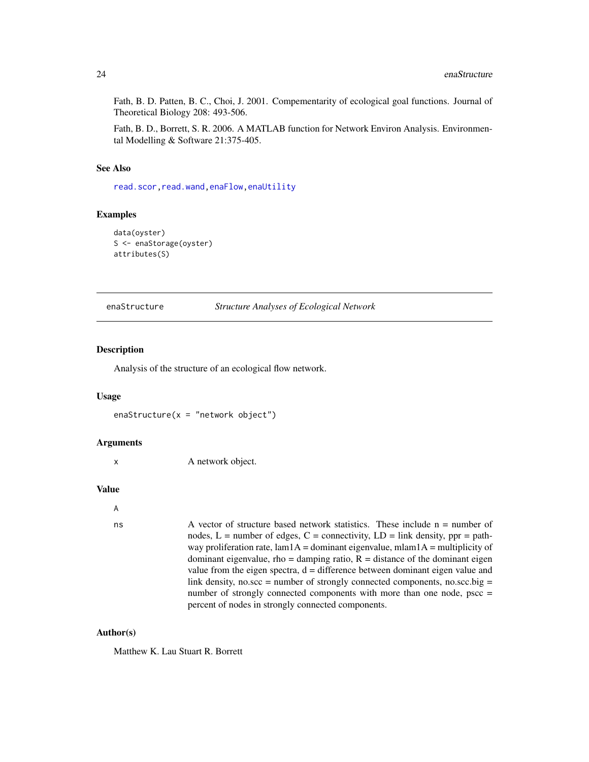<span id="page-23-0"></span>Fath, B. D. Patten, B. C., Choi, J. 2001. Compementarity of ecological goal functions. Journal of Theoretical Biology 208: 493-506.

Fath, B. D., Borrett, S. R. 2006. A MATLAB function for Network Environ Analysis. Environmental Modelling & Software 21:375-405.

#### See Also

[read.scor](#page-43-1)[,read.wand,](#page-44-1)[enaFlow,](#page-17-1)[enaUtility](#page-31-1)

#### Examples

```
data(oyster)
S <- enaStorage(oyster)
attributes(S)
```
<span id="page-23-1"></span>enaStructure *Structure Analyses of Ecological Network*

#### Description

Analysis of the structure of an ecological flow network.

#### Usage

enaStructure( $x =$ "network object")

#### Arguments

```
x A network object.
```
#### Value

```
A
```

```
ns \alpha vector of structure based network statistics. These include n = number of
                  nodes, L = number of edges, C = connectivity, LD = link density, pp = path-
                  way proliferation rate, lam1A = dominant eigenvalue, mlam1A = multiplicity of
                  dominant eigenvalue, rho = damping ratio, R = distance of the dominant eigen
                  value from the eigen spectra, d = difference between dominant eigen value and
                  link density, no.scc = number of strongly connected components, no.scc.big =
                  number of strongly connected components with more than one node, pscc =
                  percent of nodes in strongly connected components.
```
#### Author(s)

Matthew K. Lau Stuart R. Borrett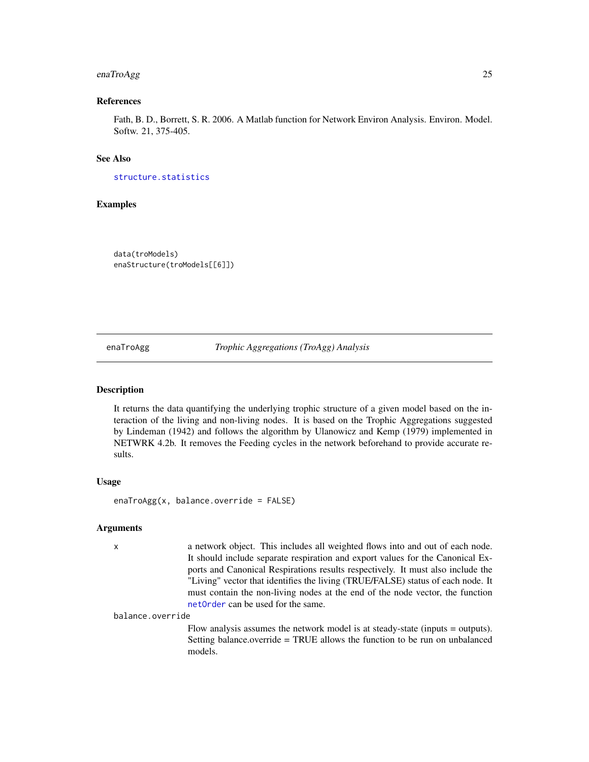## <span id="page-24-0"></span>enaTroAgg 25

## References

Fath, B. D., Borrett, S. R. 2006. A Matlab function for Network Environ Analysis. Environ. Model. Softw. 21, 375-405.

## See Also

[structure.statistics](#page-52-1)

#### Examples

data(troModels) enaStructure(troModels[[6]])

<span id="page-24-1"></span>enaTroAgg *Trophic Aggregations (TroAgg) Analysis*

#### Description

It returns the data quantifying the underlying trophic structure of a given model based on the interaction of the living and non-living nodes. It is based on the Trophic Aggregations suggested by Lindeman (1942) and follows the algorithm by Ulanowicz and Kemp (1979) implemented in NETWRK 4.2b. It removes the Feeding cycles in the network beforehand to provide accurate results.

#### Usage

enaTroAgg(x, balance.override = FALSE)

#### Arguments

x a network object. This includes all weighted flows into and out of each node. It should include separate respiration and export values for the Canonical Exports and Canonical Respirations results respectively. It must also include the "Living" vector that identifies the living (TRUE/FALSE) status of each node. It must contain the non-living nodes at the end of the node vector, the function [netOrder](#page-38-1) can be used for the same.

balance.override

Flow analysis assumes the network model is at steady-state (inputs = outputs). Setting balance.override = TRUE allows the function to be run on unbalanced models.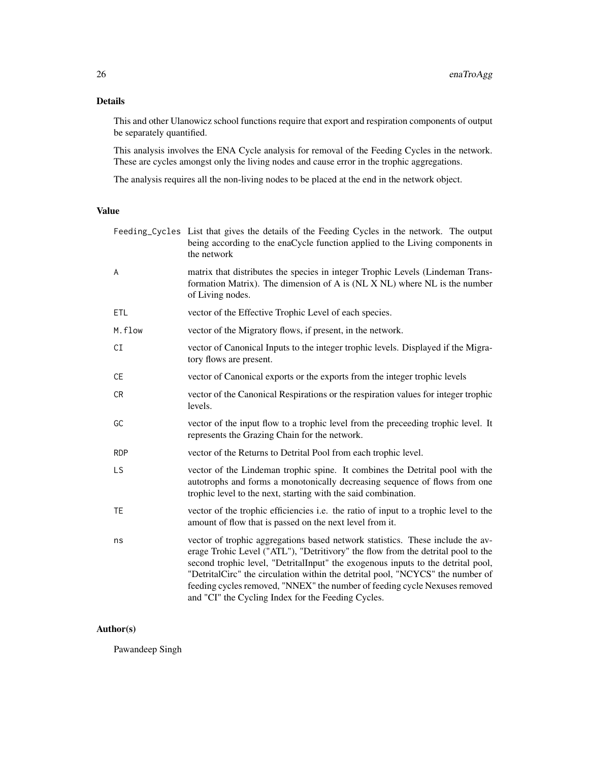## Details

This and other Ulanowicz school functions require that export and respiration components of output be separately quantified.

This analysis involves the ENA Cycle analysis for removal of the Feeding Cycles in the network. These are cycles amongst only the living nodes and cause error in the trophic aggregations.

The analysis requires all the non-living nodes to be placed at the end in the network object.

## Value

|            | Feeding_Cycles List that gives the details of the Feeding Cycles in the network. The output<br>being according to the enaCycle function applied to the Living components in<br>the network                                                                                                                                                                                                                                                                                   |
|------------|------------------------------------------------------------------------------------------------------------------------------------------------------------------------------------------------------------------------------------------------------------------------------------------------------------------------------------------------------------------------------------------------------------------------------------------------------------------------------|
| A          | matrix that distributes the species in integer Trophic Levels (Lindeman Trans-<br>formation Matrix). The dimension of A is (NL X NL) where NL is the number<br>of Living nodes.                                                                                                                                                                                                                                                                                              |
| <b>ETL</b> | vector of the Effective Trophic Level of each species.                                                                                                                                                                                                                                                                                                                                                                                                                       |
| M.flow     | vector of the Migratory flows, if present, in the network.                                                                                                                                                                                                                                                                                                                                                                                                                   |
| CI         | vector of Canonical Inputs to the integer trophic levels. Displayed if the Migra-<br>tory flows are present.                                                                                                                                                                                                                                                                                                                                                                 |
| CE         | vector of Canonical exports or the exports from the integer trophic levels                                                                                                                                                                                                                                                                                                                                                                                                   |
| <b>CR</b>  | vector of the Canonical Respirations or the respiration values for integer trophic<br>levels.                                                                                                                                                                                                                                                                                                                                                                                |
| GC         | vector of the input flow to a trophic level from the preceeding trophic level. It<br>represents the Grazing Chain for the network.                                                                                                                                                                                                                                                                                                                                           |
| <b>RDP</b> | vector of the Returns to Detrital Pool from each trophic level.                                                                                                                                                                                                                                                                                                                                                                                                              |
| LS         | vector of the Lindeman trophic spine. It combines the Detrital pool with the<br>autotrophs and forms a monotonically decreasing sequence of flows from one<br>trophic level to the next, starting with the said combination.                                                                                                                                                                                                                                                 |
| TE         | vector of the trophic efficiencies <i>i.e.</i> the ratio of input to a trophic level to the<br>amount of flow that is passed on the next level from it.                                                                                                                                                                                                                                                                                                                      |
| ns         | vector of trophic aggregations based network statistics. These include the av-<br>erage Trohic Level ("ATL"), "Detritivory" the flow from the detrital pool to the<br>second trophic level, "DetritalInput" the exogenous inputs to the detrital pool,<br>"DetritalCirc" the circulation within the detrital pool, "NCYCS" the number of<br>feeding cycles removed, "NNEX" the number of feeding cycle Nexuses removed<br>and "CI" the Cycling Index for the Feeding Cycles. |

## Author(s)

Pawandeep Singh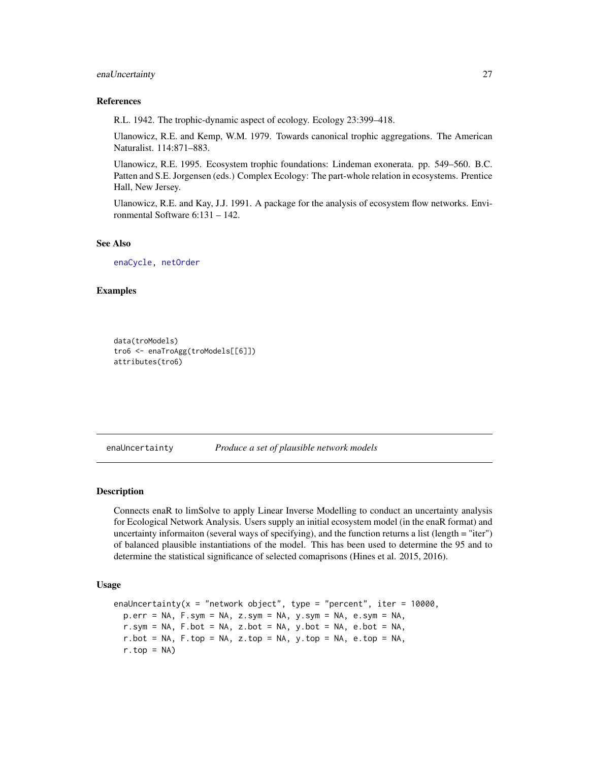#### <span id="page-26-0"></span>enaUncertainty 27

#### References

R.L. 1942. The trophic-dynamic aspect of ecology. Ecology 23:399–418.

Ulanowicz, R.E. and Kemp, W.M. 1979. Towards canonical trophic aggregations. The American Naturalist. 114:871–883.

Ulanowicz, R.E. 1995. Ecosystem trophic foundations: Lindeman exonerata. pp. 549–560. B.C. Patten and S.E. Jorgensen (eds.) Complex Ecology: The part-whole relation in ecosystems. Prentice Hall, New Jersey.

Ulanowicz, R.E. and Kay, J.J. 1991. A package for the analysis of ecosystem flow networks. Environmental Software 6:131 – 142.

#### See Also

[enaCycle,](#page-14-1) [netOrder](#page-38-1)

## Examples

```
data(troModels)
tro6 <- enaTroAgg(troModels[[6]])
attributes(tro6)
```
enaUncertainty *Produce a set of plausible network models*

## **Description**

Connects enaR to limSolve to apply Linear Inverse Modelling to conduct an uncertainty analysis for Ecological Network Analysis. Users supply an initial ecosystem model (in the enaR format) and uncertainty informaiton (several ways of specifying), and the function returns a list (length = "iter") of balanced plausible instantiations of the model. This has been used to determine the 95 and to determine the statistical significance of selected comaprisons (Hines et al. 2015, 2016).

#### Usage

```
enaUncertainty(x = "network object", type = "percent", iter = 10000,
 p.err = NA, F.sym = NA, z.sym = NA, y.sym = NA, e.sym = NA,
  r.sym = NA, F.bot = NA, z.bot = NA, y.bot = NA, e.bot = NA,
  r.bot = NA, F.top = NA, z.top = NA, y.top = NA, e.top = NA,
  r.top = NA
```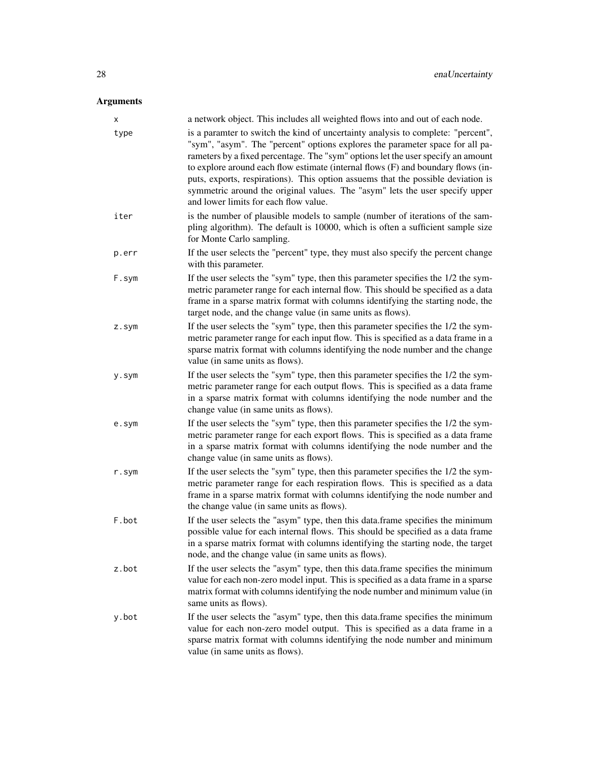## Arguments

| X        | a network object. This includes all weighted flows into and out of each node.                                                                                                                                                                                                                                                                                                                                                                                                                                                                          |
|----------|--------------------------------------------------------------------------------------------------------------------------------------------------------------------------------------------------------------------------------------------------------------------------------------------------------------------------------------------------------------------------------------------------------------------------------------------------------------------------------------------------------------------------------------------------------|
| type     | is a paramter to switch the kind of uncertainty analysis to complete: "percent",<br>"sym", "asym". The "percent" options explores the parameter space for all pa-<br>rameters by a fixed percentage. The "sym" options let the user specify an amount<br>to explore around each flow estimate (internal flows (F) and boundary flows (in-<br>puts, exports, respirations). This option assuems that the possible deviation is<br>symmetric around the original values. The "asym" lets the user specify upper<br>and lower limits for each flow value. |
| iter     | is the number of plausible models to sample (number of iterations of the sam-<br>pling algorithm). The default is 10000, which is often a sufficient sample size<br>for Monte Carlo sampling.                                                                                                                                                                                                                                                                                                                                                          |
| p.err    | If the user selects the "percent" type, they must also specify the percent change<br>with this parameter.                                                                                                                                                                                                                                                                                                                                                                                                                                              |
| F.sym    | If the user selects the "sym" type, then this parameter specifies the 1/2 the sym-<br>metric parameter range for each internal flow. This should be specified as a data<br>frame in a sparse matrix format with columns identifying the starting node, the<br>target node, and the change value (in same units as flows).                                                                                                                                                                                                                              |
| $Z.S$ ym | If the user selects the "sym" type, then this parameter specifies the 1/2 the sym-<br>metric parameter range for each input flow. This is specified as a data frame in a<br>sparse matrix format with columns identifying the node number and the change<br>value (in same units as flows).                                                                                                                                                                                                                                                            |
| y.sym    | If the user selects the "sym" type, then this parameter specifies the 1/2 the sym-<br>metric parameter range for each output flows. This is specified as a data frame<br>in a sparse matrix format with columns identifying the node number and the<br>change value (in same units as flows).                                                                                                                                                                                                                                                          |
| e.sym    | If the user selects the "sym" type, then this parameter specifies the 1/2 the sym-<br>metric parameter range for each export flows. This is specified as a data frame<br>in a sparse matrix format with columns identifying the node number and the<br>change value (in same units as flows).                                                                                                                                                                                                                                                          |
| r.sym    | If the user selects the "sym" type, then this parameter specifies the 1/2 the sym-<br>metric parameter range for each respiration flows. This is specified as a data<br>frame in a sparse matrix format with columns identifying the node number and<br>the change value (in same units as flows).                                                                                                                                                                                                                                                     |
| F.bot    | If the user selects the "asym" type, then this data.frame specifies the minimum<br>possible value for each internal flows. This should be specified as a data frame<br>in a sparse matrix format with columns identifying the starting node, the target<br>node, and the change value (in same units as flows).                                                                                                                                                                                                                                        |
| z.bot    | If the user selects the "asym" type, then this data.frame specifies the minimum<br>value for each non-zero model input. This is specified as a data frame in a sparse<br>matrix format with columns identifying the node number and minimum value (in<br>same units as flows).                                                                                                                                                                                                                                                                         |
| y.bot    | If the user selects the "asym" type, then this data.frame specifies the minimum<br>value for each non-zero model output. This is specified as a data frame in a<br>sparse matrix format with columns identifying the node number and minimum<br>value (in same units as flows).                                                                                                                                                                                                                                                                        |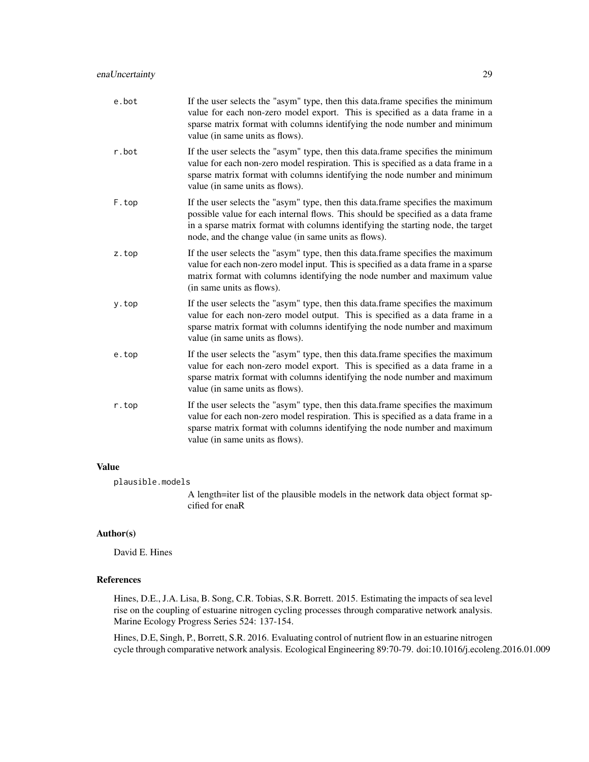| r.bot<br>sparse matrix format with columns identifying the node number and minimum<br>value (in same units as flows).<br>F.top<br>possible value for each internal flows. This should be specified as a data frame<br>in a sparse matrix format with columns identifying the starting node, the target<br>node, and the change value (in same units as flows).<br>z.top<br>value for each non-zero model input. This is specified as a data frame in a sparse<br>matrix format with columns identifying the node number and maximum value<br>(in same units as flows).<br>y.top<br>value (in same units as flows).<br>e.top<br>value (in same units as flows).<br>r.top<br>value (in same units as flows). | e.bot | If the user selects the "asym" type, then this data.frame specifies the minimum<br>value for each non-zero model export. This is specified as a data frame in a<br>sparse matrix format with columns identifying the node number and minimum<br>value (in same units as flows). |
|------------------------------------------------------------------------------------------------------------------------------------------------------------------------------------------------------------------------------------------------------------------------------------------------------------------------------------------------------------------------------------------------------------------------------------------------------------------------------------------------------------------------------------------------------------------------------------------------------------------------------------------------------------------------------------------------------------|-------|---------------------------------------------------------------------------------------------------------------------------------------------------------------------------------------------------------------------------------------------------------------------------------|
|                                                                                                                                                                                                                                                                                                                                                                                                                                                                                                                                                                                                                                                                                                            |       | If the user selects the "asym" type, then this data frame specifies the minimum<br>value for each non-zero model respiration. This is specified as a data frame in a                                                                                                            |
|                                                                                                                                                                                                                                                                                                                                                                                                                                                                                                                                                                                                                                                                                                            |       | If the user selects the "asym" type, then this data.frame specifies the maximum                                                                                                                                                                                                 |
|                                                                                                                                                                                                                                                                                                                                                                                                                                                                                                                                                                                                                                                                                                            |       | If the user selects the "asym" type, then this data.frame specifies the maximum                                                                                                                                                                                                 |
|                                                                                                                                                                                                                                                                                                                                                                                                                                                                                                                                                                                                                                                                                                            |       | If the user selects the "asym" type, then this data.frame specifies the maximum<br>value for each non-zero model output. This is specified as a data frame in a<br>sparse matrix format with columns identifying the node number and maximum                                    |
|                                                                                                                                                                                                                                                                                                                                                                                                                                                                                                                                                                                                                                                                                                            |       | If the user selects the "asym" type, then this data.frame specifies the maximum<br>value for each non-zero model export. This is specified as a data frame in a<br>sparse matrix format with columns identifying the node number and maximum                                    |
|                                                                                                                                                                                                                                                                                                                                                                                                                                                                                                                                                                                                                                                                                                            |       | If the user selects the "asym" type, then this data.frame specifies the maximum<br>value for each non-zero model respiration. This is specified as a data frame in a<br>sparse matrix format with columns identifying the node number and maximum                               |

## Value

plausible.models

A length=iter list of the plausible models in the network data object format spcified for enaR

## Author(s)

David E. Hines

### References

Hines, D.E., J.A. Lisa, B. Song, C.R. Tobias, S.R. Borrett. 2015. Estimating the impacts of sea level rise on the coupling of estuarine nitrogen cycling processes through comparative network analysis. Marine Ecology Progress Series 524: 137-154.

Hines, D.E, Singh, P., Borrett, S.R. 2016. Evaluating control of nutrient flow in an estuarine nitrogen cycle through comparative network analysis. Ecological Engineering 89:70-79. doi:10.1016/j.ecoleng.2016.01.009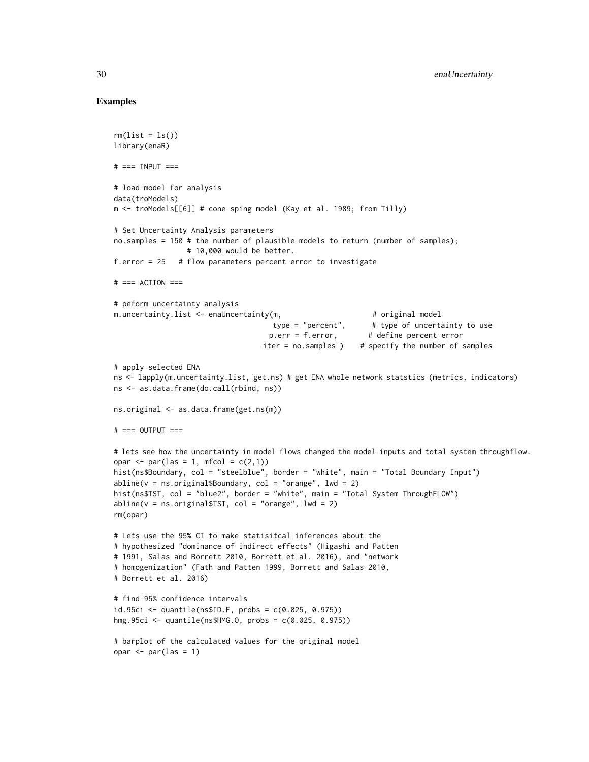## Examples

```
rm(list = ls())library(enaR)
# == INPUT ==# load model for analysis
data(troModels)
m <- troModels[[6]] # cone sping model (Kay et al. 1989; from Tilly)
# Set Uncertainty Analysis parameters
no.samples = 150 # the number of plausible models to return (number of samples);
                 # 10,000 would be better.
f.error = 25 # flow parameters percent error to investigate
# === ACTION ===
# peform uncertainty analysis
m.uncertainty.list <- enaUncertainty(m, \qquad # original model
                                    type = "percent", \qquad # type of uncertainty to use
                                    p.err = f. error, # define percent error
                                  iter = no.samples ) # specify the number of samples
# apply selected ENA
ns <- lapply(m.uncertainty.list, get.ns) # get ENA whole network statstics (metrics, indicators)
ns <- as.data.frame(do.call(rbind, ns))
ns.original <- as.data.frame(get.ns(m))
# == OUTPUT ==# lets see how the uncertainty in model flows changed the model inputs and total system throughflow.
opar \leq par(las = 1, mfcol = c(2,1))
hist(ns$Boundary, col = "steelblue", border = "white", main = "Total Boundary Input")
abline(v = ns.original$Boundary, col = "orange", lwd = 2)hist(ns$TST, col = "blue2", border = "white", main = "Total System ThroughFLOW")
abline(v = ns.original$TST, col = "orange", lwd = 2)
rm(opar)
# Lets use the 95% CI to make statisitcal inferences about the
# hypothesized "dominance of indirect effects" (Higashi and Patten
# 1991, Salas and Borrett 2010, Borrett et al. 2016), and "network
# homogenization" (Fath and Patten 1999, Borrett and Salas 2010,
# Borrett et al. 2016)
# find 95% confidence intervals
id.95ci \leq quantile(ns$ID.F, probs = c(0.025, 0.975))hmg.95ci <- quantile(ns$HMG.O, probs = c(0.025, 0.975))
# barplot of the calculated values for the original model
opar \leq par(las = 1)
```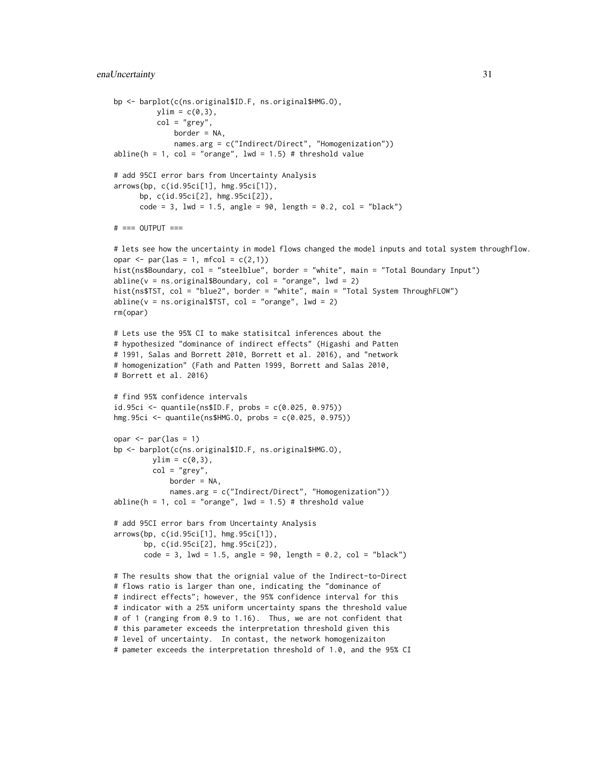#### enaUncertainty 31

```
bp <- barplot(c(ns.original$ID.F, ns.original$HMG.O),
         ylim = c(0,3),
         col = "grey",border = NA,
             names.arg = c("Indirect/Direct", "Homogenization"))
abline(h = 1, col = "orange", lwd = 1.5) # threshold value
# add 95CI error bars from Uncertainty Analysis
arrows(bp, c(id.95ci[1], hmg.95ci[1]),
     bp, c(id.95ci[2], hmg.95ci[2]),
     code = 3, 1wd = 1.5, angle = 90, length = 0.2, col = "black")# === OUTPUT ===
# lets see how the uncertainty in model flows changed the model inputs and total system throughflow.
opar \leq par(las = 1, mfcol = c(2,1))
hist(ns$Boundary, col = "steelblue", border = "white", main = "Total Boundary Input")
abline(v = ns.original$Boundary, col = "orange", lwd = 2)hist(ns$TST, col = "blue2", border = "white", main = "Total System ThroughFLOW")
abline(v = ns.original$TST, col = "orange", lwd = 2)rm(opar)
# Lets use the 95% CI to make statisitcal inferences about the
# hypothesized "dominance of indirect effects" (Higashi and Patten
# 1991, Salas and Borrett 2010, Borrett et al. 2016), and "network
# homogenization" (Fath and Patten 1999, Borrett and Salas 2010,
# Borrett et al. 2016)
# find 95% confidence intervals
id.95ci <- quantile(ns$ID.F, probs = c(0.025, 0.975))
hmg.95ci <- quantile(ns$HMG.O, probs = c(0.025, 0.975))
opar \leq par(las = 1)
bp <- barplot(c(ns.original$ID.F, ns.original$HMG.O),
        ylim = c(0,3),
        col = "grey",border = NA,
             names.arg = c("Indirect/Direct", "Homogenization"))
abline(h = 1, col = "orange", lwd = 1.5) # threshold value# add 95CI error bars from Uncertainty Analysis
arrows(bp, c(id.95ci[1], hmg.95ci[1]),
      bp, c(id.95ci[2], hmg.95ci[2]),
      code = 3, 1wd = 1.5, angle = 90, length = 0.2, col = "black")# The results show that the orignial value of the Indirect-to-Direct
# flows ratio is larger than one, indicating the "dominance of
# indirect effects"; however, the 95% confidence interval for this
# indicator with a 25% uniform uncertainty spans the threshold value
# of 1 (ranging from 0.9 to 1.16). Thus, we are not confident that
# this parameter exceeds the interpretation threshold given this
# level of uncertainty. In contast, the network homogenizaiton
# pameter exceeds the interpretation threshold of 1.0, and the 95% CI
```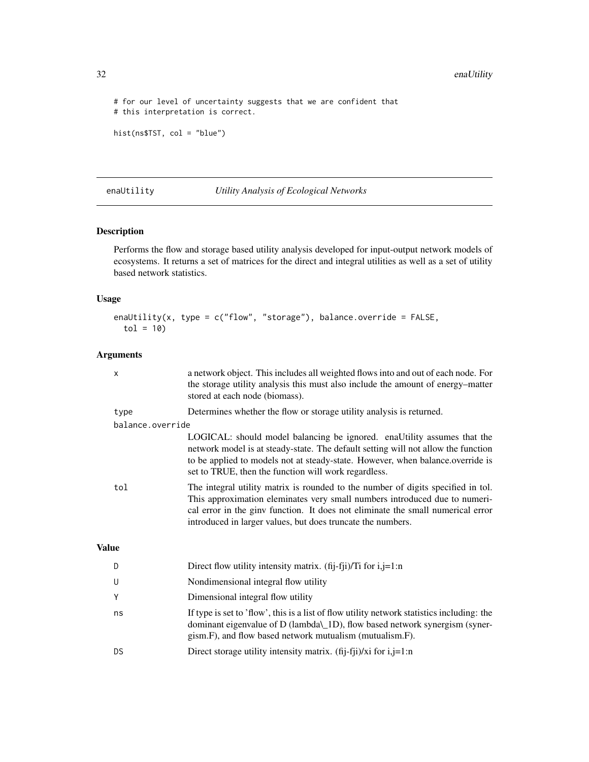```
# for our level of uncertainty suggests that we are confident that
# this interpretation is correct.
```

```
hist(ns$TST, col = "blue")
```

```
enaUtility Utility Analysis of Ecological Networks
```
Performs the flow and storage based utility analysis developed for input-output network models of ecosystems. It returns a set of matrices for the direct and integral utilities as well as a set of utility based network statistics.

### Usage

```
enaUtility(x, type = c("flow", "storage"), balance.override = FALSE,
  tol = 10
```
## Arguments

|              | X                | a network object. This includes all weighted flows into and out of each node. For<br>the storage utility analysis this must also include the amount of energy–matter<br>stored at each node (biomass).                                                                                                           |
|--------------|------------------|------------------------------------------------------------------------------------------------------------------------------------------------------------------------------------------------------------------------------------------------------------------------------------------------------------------|
|              | type             | Determines whether the flow or storage utility analysis is returned.                                                                                                                                                                                                                                             |
|              | balance.override |                                                                                                                                                                                                                                                                                                                  |
|              |                  | LOGICAL: should model balancing be ignored. enaUtility assumes that the<br>network model is at steady-state. The default setting will not allow the function<br>to be applied to models not at steady-state. However, when balance.override is<br>set to TRUE, then the function will work regardless.           |
|              | tol              | The integral utility matrix is rounded to the number of digits specified in tol.<br>This approximation eleminates very small numbers introduced due to numeri-<br>cal error in the ginv function. It does not eliminate the small numerical error<br>introduced in larger values, but does truncate the numbers. |
| <b>Value</b> |                  |                                                                                                                                                                                                                                                                                                                  |
|              | D                | Direct flow utility intensity matrix. (fij-fji)/Ti for $i,j=1:n$                                                                                                                                                                                                                                                 |
|              | U                | Nondimensional integral flow utility                                                                                                                                                                                                                                                                             |
|              | Y                | Dimensional integral flow utility                                                                                                                                                                                                                                                                                |
|              | ns               | If type is set to 'flow', this is a list of flow utility network statistics including: the<br>dominant eigenvalue of D (lambda\_1D), flow based network synergism (syner-<br>gism.F), and flow based network mutualism (mutualism.F).                                                                            |
|              | DS               | Direct storage utility intensity matrix. $(fij-fji)/xi$ for $i,j=1:n$                                                                                                                                                                                                                                            |
|              |                  |                                                                                                                                                                                                                                                                                                                  |

<span id="page-31-0"></span>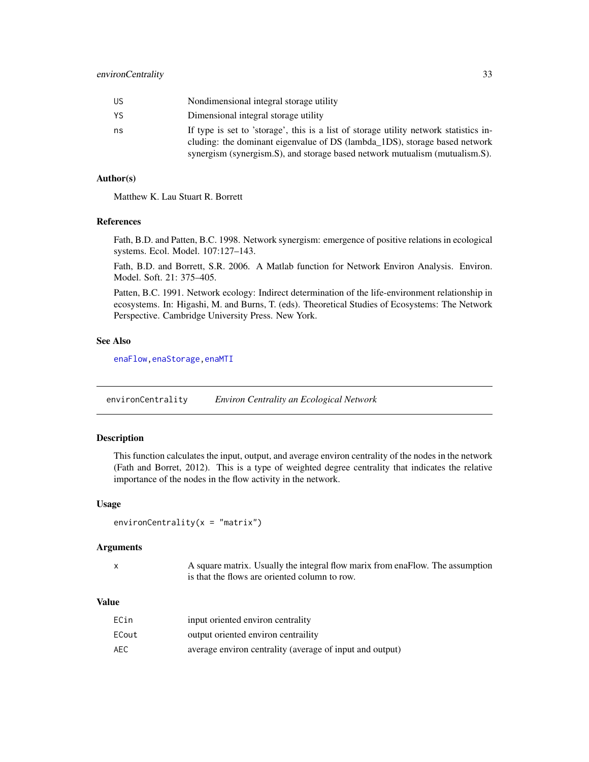<span id="page-32-0"></span>

| US | Nondimensional integral storage utility                                                                                                                                                                                                            |
|----|----------------------------------------------------------------------------------------------------------------------------------------------------------------------------------------------------------------------------------------------------|
| YS | Dimensional integral storage utility                                                                                                                                                                                                               |
| ns | If type is set to 'storage', this is a list of storage utility network statistics in-<br>cluding: the dominant eigenvalue of DS (lambda_1DS), storage based network<br>synergism (synergism.S), and storage based network mutualism (mutualism.S). |

#### Author(s)

Matthew K. Lau Stuart R. Borrett

## References

Fath, B.D. and Patten, B.C. 1998. Network synergism: emergence of positive relations in ecological systems. Ecol. Model. 107:127–143.

Fath, B.D. and Borrett, S.R. 2006. A Matlab function for Network Environ Analysis. Environ. Model. Soft. 21: 375–405.

Patten, B.C. 1991. Network ecology: Indirect determination of the life-environment relationship in ecosystems. In: Higashi, M. and Burns, T. (eds). Theoretical Studies of Ecosystems: The Network Perspective. Cambridge University Press. New York.

#### See Also

[enaFlow](#page-17-1)[,enaStorage](#page-21-1)[,enaMTI](#page-20-1)

environCentrality *Environ Centrality an Ecological Network*

## Description

This function calculates the input, output, and average environ centrality of the nodes in the network (Fath and Borret, 2012). This is a type of weighted degree centrality that indicates the relative importance of the nodes in the flow activity in the network.

#### Usage

```
environCentrality(x = "matrix")
```
#### Arguments

|        | ٠ |
|--------|---|
| I<br>٦ |   |
|        |   |

A square matrix. Usually the integral flow marix from enaFlow. The assumption is that the flows are oriented column to row.

#### Value

| ECin  | input oriented environ centrality                        |
|-------|----------------------------------------------------------|
| ECout | output oriented environ centraility                      |
| AEC   | average environ centrality (average of input and output) |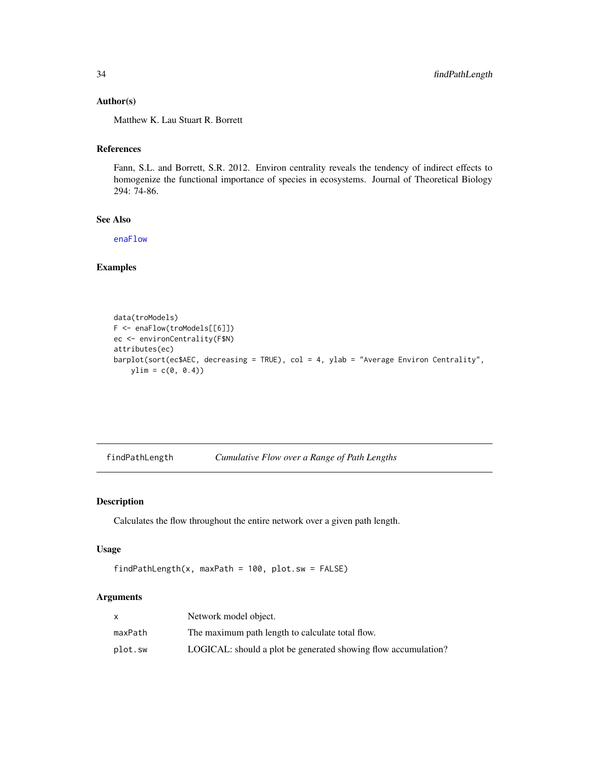#### <span id="page-33-0"></span>Author(s)

Matthew K. Lau Stuart R. Borrett

## References

Fann, S.L. and Borrett, S.R. 2012. Environ centrality reveals the tendency of indirect effects to homogenize the functional importance of species in ecosystems. Journal of Theoretical Biology 294: 74-86.

## See Also

[enaFlow](#page-17-1)

## Examples

```
data(troModels)
F <- enaFlow(troModels[[6]])
ec <- environCentrality(F$N)
attributes(ec)
barplot(sort(ec$AEC, decreasing = TRUE), col = 4, ylab = "Average Environ Centrality",
   ylim = c(0, 0.4)
```
<span id="page-33-1"></span>findPathLength *Cumulative Flow over a Range of Path Lengths*

## Description

Calculates the flow throughout the entire network over a given path length.

## Usage

```
findPathLength(x, maxPath = 100, plot_sw = FALSE)
```
## Arguments

|         | Network model object.                                          |
|---------|----------------------------------------------------------------|
| maxPath | The maximum path length to calculate total flow.               |
| plot.sw | LOGICAL: should a plot be generated showing flow accumulation? |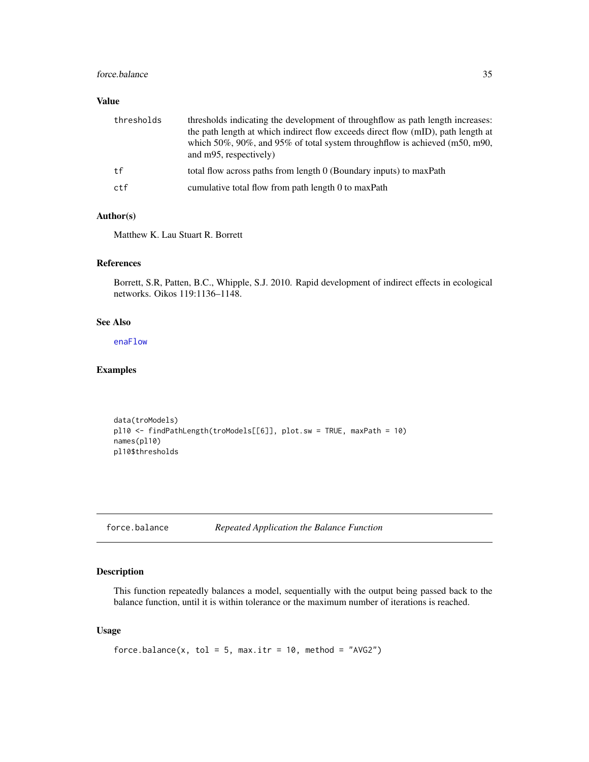#### <span id="page-34-0"></span>force.balance 35

## Value

| thresholds | thresholds indicating the development of throughflow as path length increases:<br>the path length at which indirect flow exceeds direct flow (mID), path length at<br>which $50\%$ , $90\%$ , and $95\%$ of total system throughflow is achieved (m50, m90,<br>and m95, respectively) |
|------------|---------------------------------------------------------------------------------------------------------------------------------------------------------------------------------------------------------------------------------------------------------------------------------------|
| tf         | total flow across paths from length 0 (Boundary inputs) to maxPath                                                                                                                                                                                                                    |
| ctf        | cumulative total flow from path length 0 to maxPath                                                                                                                                                                                                                                   |

## Author(s)

Matthew K. Lau Stuart R. Borrett

## References

Borrett, S.R, Patten, B.C., Whipple, S.J. 2010. Rapid development of indirect effects in ecological networks. Oikos 119:1136–1148.

## See Also

[enaFlow](#page-17-1)

## Examples

```
data(troModels)
pl10 <- findPathLength(troModels[[6]], plot.sw = TRUE, maxPath = 10)
names(pl10)
pl10$thresholds
```
force.balance *Repeated Application the Balance Function*

## Description

This function repeatedly balances a model, sequentially with the output being passed back to the balance function, until it is within tolerance or the maximum number of iterations is reached.

## Usage

```
force.balance(x, tol = 5, max.itr = 10, method = "AVG2")
```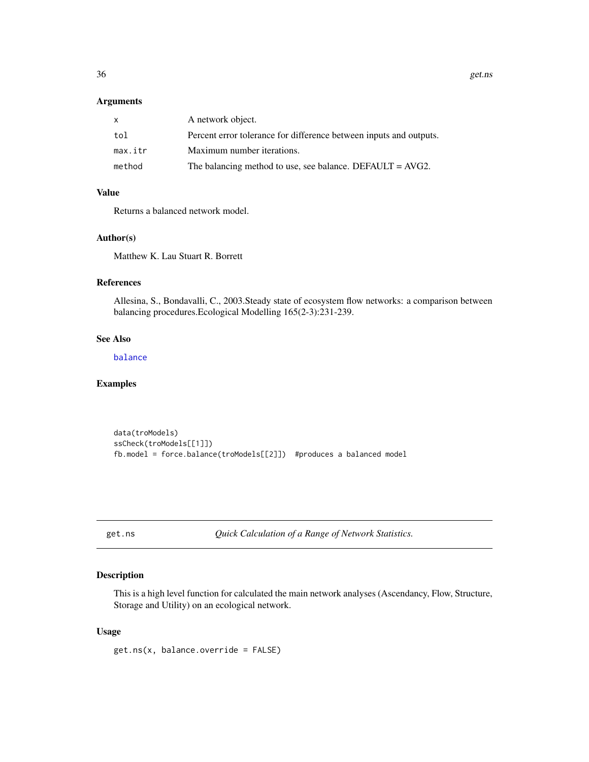#### <span id="page-35-0"></span>Arguments

|         | A network object.                                                  |
|---------|--------------------------------------------------------------------|
| tol     | Percent error tolerance for difference between inputs and outputs. |
| max.itr | Maximum number iterations.                                         |
| method  | The balancing method to use, see balance. DEFAULT = $AVG2$ .       |

## Value

Returns a balanced network model.

## Author(s)

Matthew K. Lau Stuart R. Borrett

## References

Allesina, S., Bondavalli, C., 2003.Steady state of ecosystem flow networks: a comparison between balancing procedures.Ecological Modelling 165(2-3):231-239.

## See Also

[balance](#page-5-1)

#### Examples

```
data(troModels)
ssCheck(troModels[[1]])
fb.model = force.balance(troModels[[2]]) #produces a balanced model
```
get.ns *Quick Calculation of a Range of Network Statistics.*

## Description

This is a high level function for calculated the main network analyses (Ascendancy, Flow, Structure, Storage and Utility) on an ecological network.

## Usage

get.ns(x, balance.override = FALSE)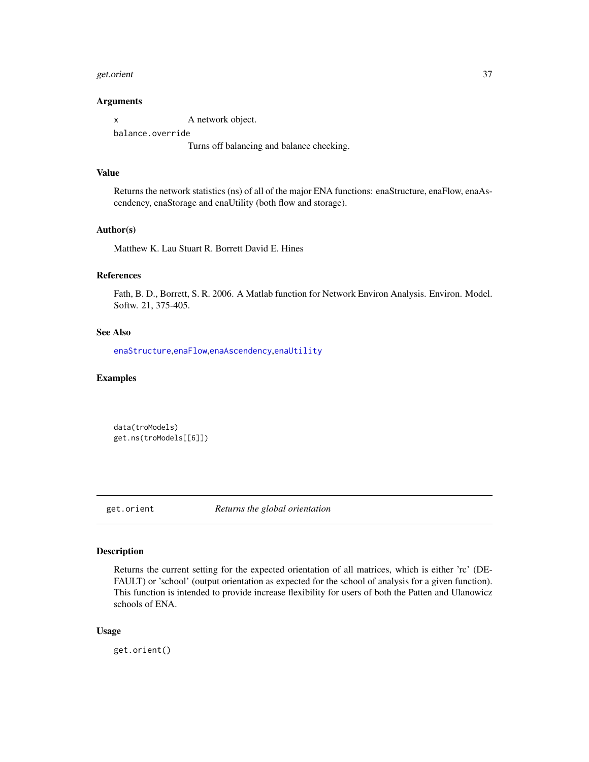#### <span id="page-36-0"></span>get.orient 37

#### Arguments

x A network object. balance.override Turns off balancing and balance checking.

#### Value

Returns the network statistics (ns) of all of the major ENA functions: enaStructure, enaFlow, enaAscendency, enaStorage and enaUtility (both flow and storage).

#### Author(s)

Matthew K. Lau Stuart R. Borrett David E. Hines

## References

Fath, B. D., Borrett, S. R. 2006. A Matlab function for Network Environ Analysis. Environ. Model. Softw. 21, 375-405.

## See Also

[enaStructure](#page-23-1),[enaFlow](#page-17-1),[enaAscendency](#page-11-1),[enaUtility](#page-31-1)

#### Examples

data(troModels) get.ns(troModels[[6]])

<span id="page-36-1"></span>get.orient *Returns the global orientation*

#### Description

Returns the current setting for the expected orientation of all matrices, which is either 'rc' (DE-FAULT) or 'school' (output orientation as expected for the school of analysis for a given function). This function is intended to provide increase flexibility for users of both the Patten and Ulanowicz schools of ENA.

## Usage

get.orient()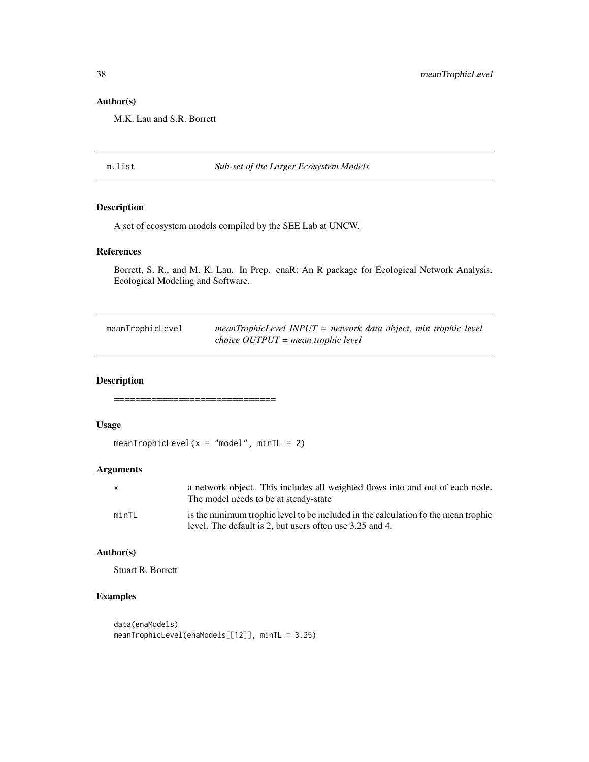## <span id="page-37-0"></span>Author(s)

M.K. Lau and S.R. Borrett

## m.list *Sub-set of the Larger Ecosystem Models*

## Description

A set of ecosystem models compiled by the SEE Lab at UNCW.

## References

Borrett, S. R., and M. K. Lau. In Prep. enaR: An R package for Ecological Network Analysis. Ecological Modeling and Software.

| meanTrophicLevel | $mean Trophic Level \; INPUT = network \; data \; object, \; min \; trophic \; level$ |
|------------------|---------------------------------------------------------------------------------------|
|                  | choice $OUTPUT = mean$ trophic level                                                  |

## Description

==============================

## Usage

meanTrophicLevel( $x = "model", minTL = 2)$ 

#### Arguments

| x     | a network object. This includes all weighted flows into and out of each node.<br>The model needs to be at steady-state                         |
|-------|------------------------------------------------------------------------------------------------------------------------------------------------|
| minTL | is the minimum trophic level to be included in the calculation fo the mean trophic<br>level. The default is 2, but users often use 3.25 and 4. |

## Author(s)

Stuart R. Borrett

#### Examples

```
data(enaModels)
meanTrophicLevel(enaModels[[12]], minTL = 3.25)
```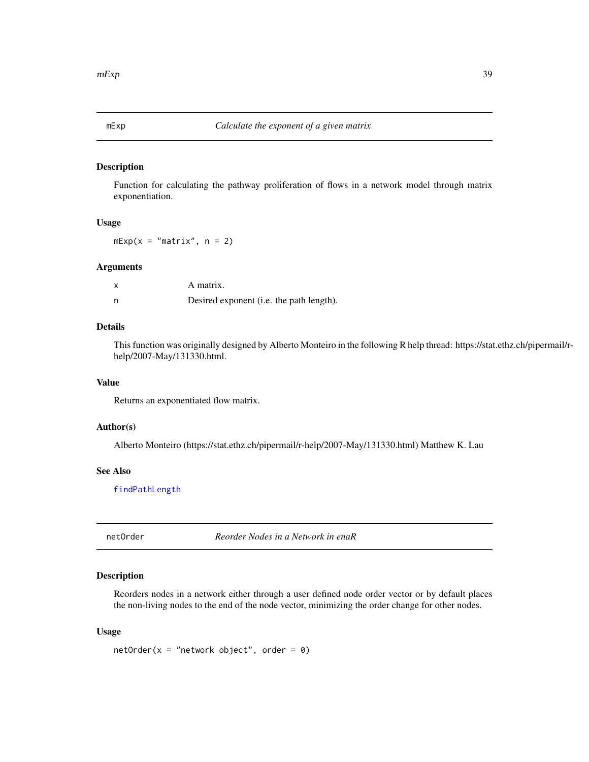<span id="page-38-0"></span>

Function for calculating the pathway proliferation of flows in a network model through matrix exponentiation.

## Usage

 $mExp(x = "matrix", n = 2)$ 

#### Arguments

| A matrix.                                |
|------------------------------------------|
| Desired exponent (i.e. the path length). |

## Details

This function was originally designed by Alberto Monteiro in the following R help thread: https://stat.ethz.ch/pipermail/rhelp/2007-May/131330.html.

## Value

Returns an exponentiated flow matrix.

#### Author(s)

Alberto Monteiro (https://stat.ethz.ch/pipermail/r-help/2007-May/131330.html) Matthew K. Lau

## See Also

[findPathLength](#page-33-1)

<span id="page-38-1"></span>netOrder *Reorder Nodes in a Network in enaR*

## Description

Reorders nodes in a network either through a user defined node order vector or by default places the non-living nodes to the end of the node vector, minimizing the order change for other nodes.

#### Usage

 $netOrder(x = "network object", order = 0)$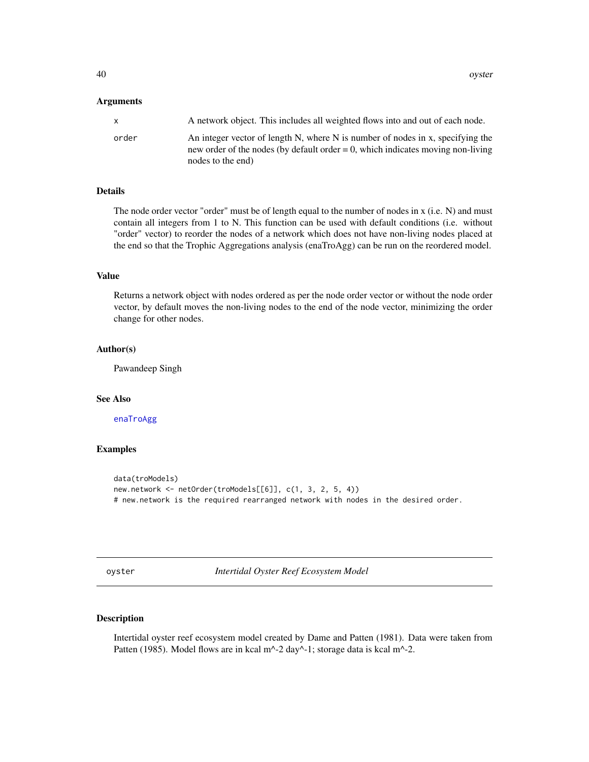#### <span id="page-39-0"></span>**Arguments**

| x     | A network object. This includes all weighted flows into and out of each node.                                                                                                             |
|-------|-------------------------------------------------------------------------------------------------------------------------------------------------------------------------------------------|
| order | An integer vector of length N, where N is number of nodes in x, specifying the<br>new order of the nodes (by default order $= 0$ , which indicates moving non-living<br>nodes to the end) |

## Details

The node order vector "order" must be of length equal to the number of nodes in x (i.e. N) and must contain all integers from 1 to N. This function can be used with default conditions (i.e. without "order" vector) to reorder the nodes of a network which does not have non-living nodes placed at the end so that the Trophic Aggregations analysis (enaTroAgg) can be run on the reordered model.

## Value

Returns a network object with nodes ordered as per the node order vector or without the node order vector, by default moves the non-living nodes to the end of the node vector, minimizing the order change for other nodes.

## Author(s)

Pawandeep Singh

#### See Also

[enaTroAgg](#page-24-1)

## Examples

```
data(troModels)
new.network <- netOrder(troModels[[6]], c(1, 3, 2, 5, 4))
# new.network is the required rearranged network with nodes in the desired order.
```
oyster *Intertidal Oyster Reef Ecosystem Model*

## Description

Intertidal oyster reef ecosystem model created by Dame and Patten (1981). Data were taken from Patten (1985). Model flows are in kcal m<sup>^</sup>-2 day<sup>^</sup>-1; storage data is kcal m<sup>^</sup>-2.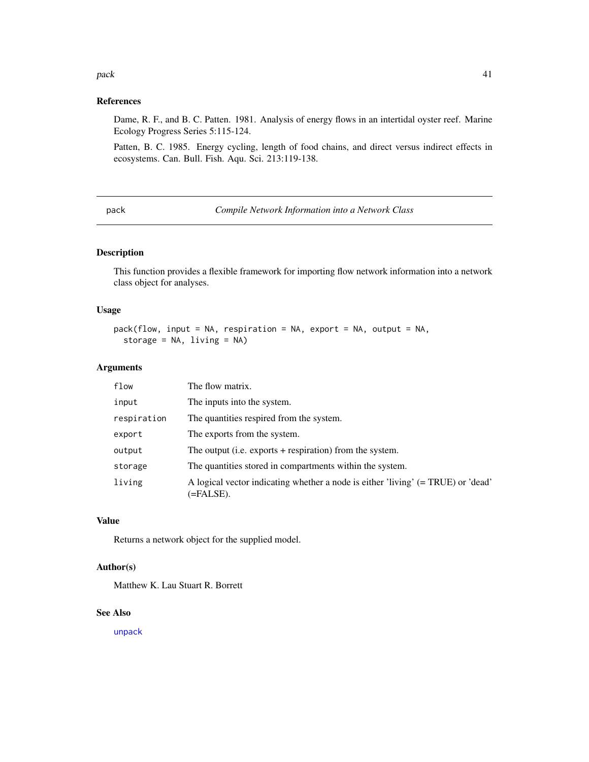#### <span id="page-40-0"></span> $pack$  and  $p41$

#### References

Dame, R. F., and B. C. Patten. 1981. Analysis of energy flows in an intertidal oyster reef. Marine Ecology Progress Series 5:115-124.

Patten, B. C. 1985. Energy cycling, length of food chains, and direct versus indirect effects in ecosystems. Can. Bull. Fish. Aqu. Sci. 213:119-138.

<span id="page-40-1"></span>pack *Compile Network Information into a Network Class*

## Description

This function provides a flexible framework for importing flow network information into a network class object for analyses.

#### Usage

```
pack(flow, input = NA, respiration = NA, export = NA, output = NA,
  storage = NA, living = NA)
```
#### Arguments

| flow        | The flow matrix.                                                                              |
|-------------|-----------------------------------------------------------------------------------------------|
| input       | The inputs into the system.                                                                   |
| respiration | The quantities respired from the system.                                                      |
| export      | The exports from the system.                                                                  |
| output      | The output (i.e. exports $+$ respiration) from the system.                                    |
| storage     | The quantities stored in compartments within the system.                                      |
| living      | A logical vector indicating whether a node is either 'living' (= TRUE) or 'dead'<br>(=FALSE). |

#### Value

Returns a network object for the supplied model.

## Author(s)

Matthew K. Lau Stuart R. Borrett

## See Also

[unpack](#page-55-1)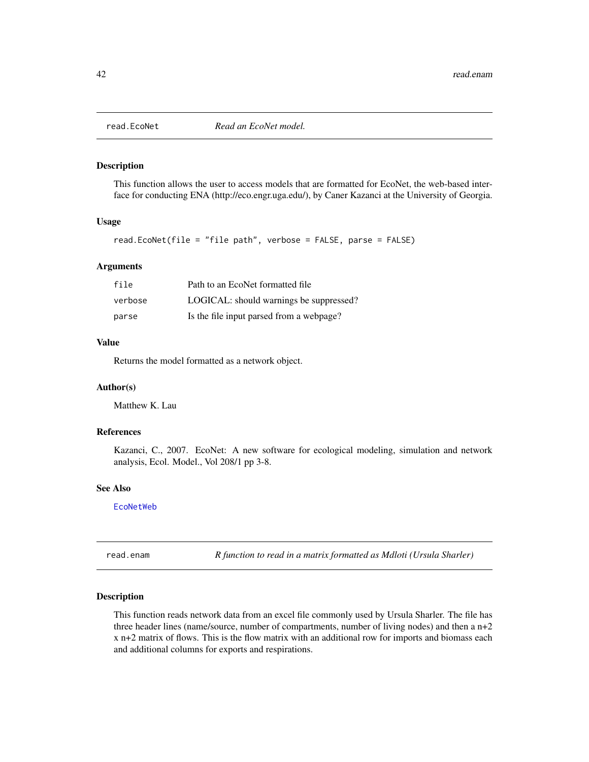<span id="page-41-1"></span><span id="page-41-0"></span>

This function allows the user to access models that are formatted for EcoNet, the web-based interface for conducting ENA (http://eco.engr.uga.edu/), by Caner Kazanci at the University of Georgia.

## Usage

```
read.EcoNet(file = "file path", verbose = FALSE, parse = FALSE)
```
#### Arguments

| file    | Path to an EcoNet formatted file         |
|---------|------------------------------------------|
| verbose | LOGICAL: should warnings be suppressed?  |
| parse   | Is the file input parsed from a webpage? |

#### Value

Returns the model formatted as a network object.

#### Author(s)

Matthew K. Lau

#### References

Kazanci, C., 2007. EcoNet: A new software for ecological modeling, simulation and network analysis, Ecol. Model., Vol 208/1 pp 3-8.

## See Also

## [EcoNetWeb](#page-8-1)

read.enam *R function to read in a matrix formatted as Mdloti (Ursula Sharler)*

#### Description

This function reads network data from an excel file commonly used by Ursula Sharler. The file has three header lines (name/source, number of compartments, number of living nodes) and then a  $n+2$ x n+2 matrix of flows. This is the flow matrix with an additional row for imports and biomass each and additional columns for exports and respirations.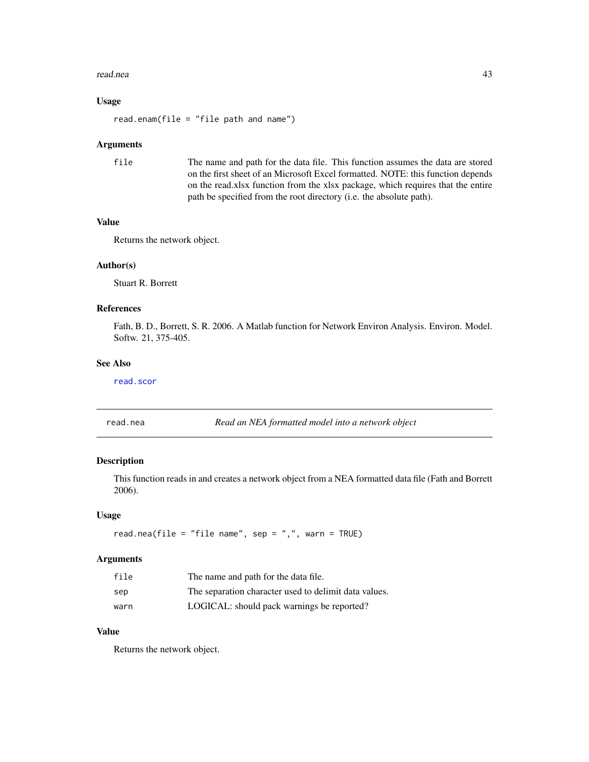#### <span id="page-42-0"></span>read.nea 43

## Usage

read.enam(file = "file path and name")

#### Arguments

```
file The name and path for the data file. This function assumes the data are stored
                  on the first sheet of an Microsoft Excel formatted. NOTE: this function depends
                  on the read.xlsx function from the xlsx package, which requires that the entire
                  path be specified from the root directory (i.e. the absolute path).
```
## Value

Returns the network object.

#### Author(s)

Stuart R. Borrett

## References

Fath, B. D., Borrett, S. R. 2006. A Matlab function for Network Environ Analysis. Environ. Model. Softw. 21, 375-405.

#### See Also

[read.scor](#page-43-1)

<span id="page-42-1"></span>read.nea *Read an NEA formatted model into a network object*

## Description

This function reads in and creates a network object from a NEA formatted data file (Fath and Borrett 2006).

#### Usage

read.nea(file = "file name", sep = ",", warn = TRUE)

#### Arguments

| file | The name and path for the data file.                  |
|------|-------------------------------------------------------|
| sep  | The separation character used to delimit data values. |
| warn | LOGICAL: should pack warnings be reported?            |

## Value

Returns the network object.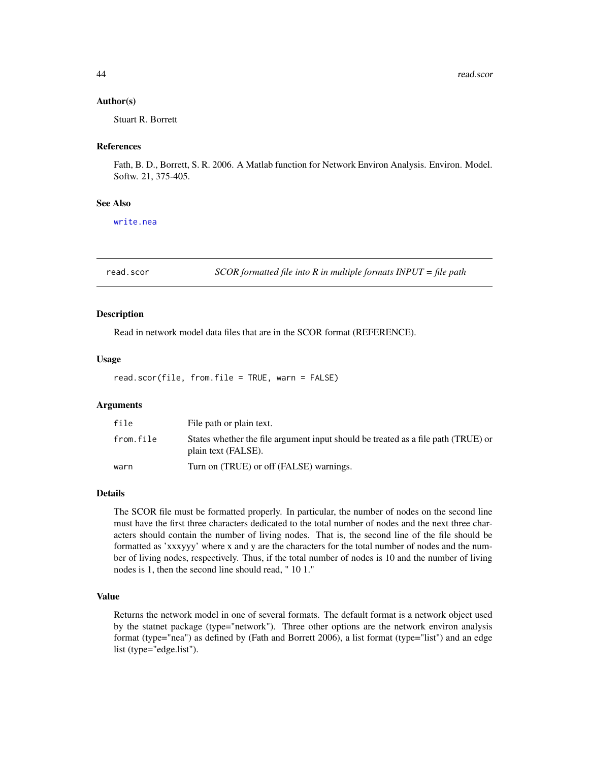#### <span id="page-43-0"></span>Author(s)

Stuart R. Borrett

#### References

Fath, B. D., Borrett, S. R. 2006. A Matlab function for Network Environ Analysis. Environ. Model. Softw. 21, 375-405.

#### See Also

[write.nea](#page-57-1)

<span id="page-43-1"></span>read.scor *SCOR formatted file into R in multiple formats INPUT = file path*

#### Description

Read in network model data files that are in the SCOR format (REFERENCE).

#### Usage

read.scor(file, from.file = TRUE, warn = FALSE)

## **Arguments**

| file      | File path or plain text.                                                                                 |
|-----------|----------------------------------------------------------------------------------------------------------|
| from.file | States whether the file argument input should be treated as a file path (TRUE) or<br>plain text (FALSE). |
| warn      | Turn on (TRUE) or off (FALSE) warnings.                                                                  |

#### Details

The SCOR file must be formatted properly. In particular, the number of nodes on the second line must have the first three characters dedicated to the total number of nodes and the next three characters should contain the number of living nodes. That is, the second line of the file should be formatted as 'xxxyyy' where x and y are the characters for the total number of nodes and the number of living nodes, respectively. Thus, if the total number of nodes is 10 and the number of living nodes is 1, then the second line should read, " 10 1."

#### Value

Returns the network model in one of several formats. The default format is a network object used by the statnet package (type="network"). Three other options are the network environ analysis format (type="nea") as defined by (Fath and Borrett 2006), a list format (type="list") and an edge list (type="edge.list").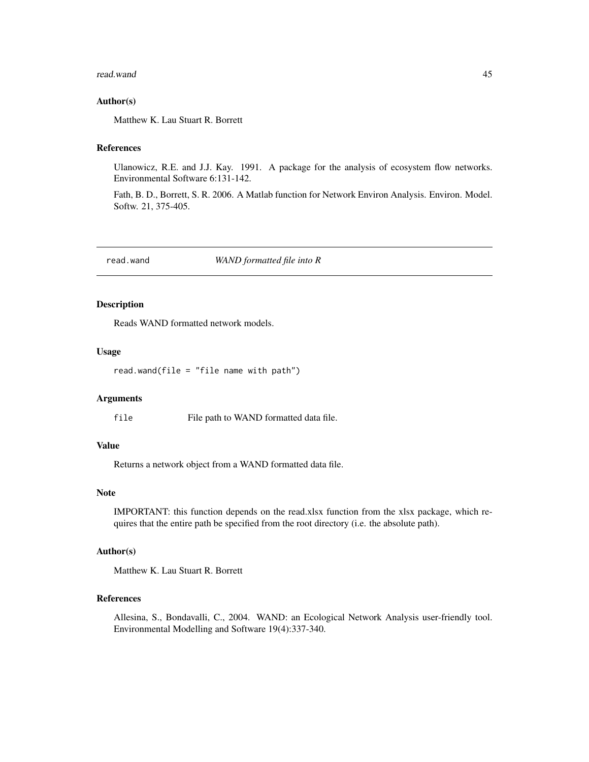#### <span id="page-44-0"></span>read.wand 45

#### Author(s)

Matthew K. Lau Stuart R. Borrett

## References

Ulanowicz, R.E. and J.J. Kay. 1991. A package for the analysis of ecosystem flow networks. Environmental Software 6:131-142.

Fath, B. D., Borrett, S. R. 2006. A Matlab function for Network Environ Analysis. Environ. Model. Softw. 21, 375-405.

<span id="page-44-1"></span>read.wand *WAND formatted file into R*

#### Description

Reads WAND formatted network models.

#### Usage

read.wand(file = "file name with path")

#### Arguments

file File path to WAND formatted data file.

## Value

Returns a network object from a WAND formatted data file.

#### Note

IMPORTANT: this function depends on the read.xlsx function from the xlsx package, which requires that the entire path be specified from the root directory (i.e. the absolute path).

## Author(s)

Matthew K. Lau Stuart R. Borrett

## References

Allesina, S., Bondavalli, C., 2004. WAND: an Ecological Network Analysis user-friendly tool. Environmental Modelling and Software 19(4):337-340.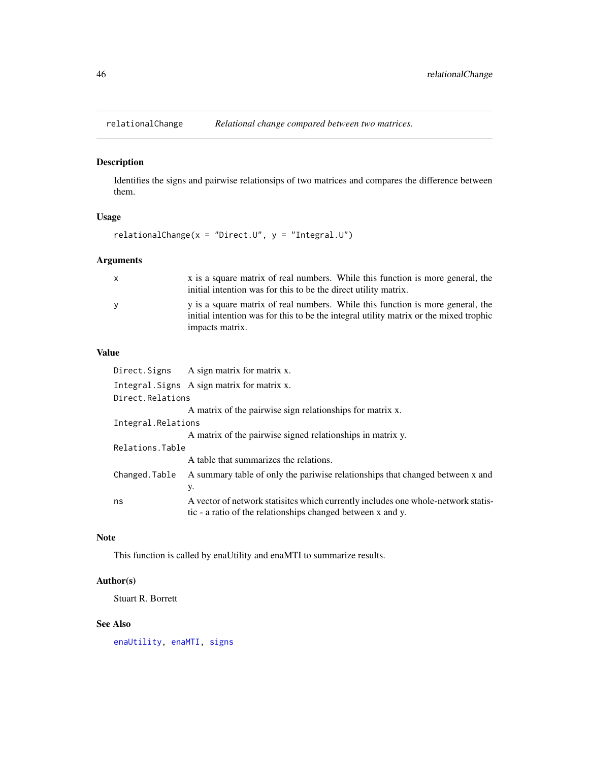<span id="page-45-1"></span><span id="page-45-0"></span>

Identifies the signs and pairwise relationsips of two matrices and compares the difference between them.

## Usage

```
relationalChange(x = "Direct.U", y = "Integral.U")
```
## Arguments

| $\mathsf{x}$ | x is a square matrix of real numbers. While this function is more general, the                                                                                          |
|--------------|-------------------------------------------------------------------------------------------------------------------------------------------------------------------------|
|              | initial intention was for this to be the direct utility matrix.                                                                                                         |
| <b>V</b>     | y is a square matrix of real numbers. While this function is more general, the<br>initial intention was for this to be the integral utility matrix or the mixed trophic |
|              | impacts matrix.                                                                                                                                                         |

## Value

|                    | Direct. Signs A sign matrix for matrix x.                                                                                                        |
|--------------------|--------------------------------------------------------------------------------------------------------------------------------------------------|
|                    | Integral. Signs A sign matrix for matrix x.                                                                                                      |
| Direct.Relations   |                                                                                                                                                  |
|                    | A matrix of the pairwise sign relationships for matrix x.                                                                                        |
| Integral.Relations |                                                                                                                                                  |
|                    | A matrix of the pairwise signed relationships in matrix y.                                                                                       |
| Relations.Table    |                                                                                                                                                  |
|                    | A table that summarizes the relations.                                                                                                           |
| Changed.Table      | A summary table of only the pariwise relationships that changed between x and                                                                    |
|                    | у.                                                                                                                                               |
| ns                 | A vector of network statistics which currently includes one whole-network statis-<br>tic - a ratio of the relationships changed between x and y. |

## Note

This function is called by enaUtility and enaMTI to summarize results.

## Author(s)

Stuart R. Borrett

## See Also

[enaUtility,](#page-31-1) [enaMTI,](#page-20-1) [signs](#page-50-1)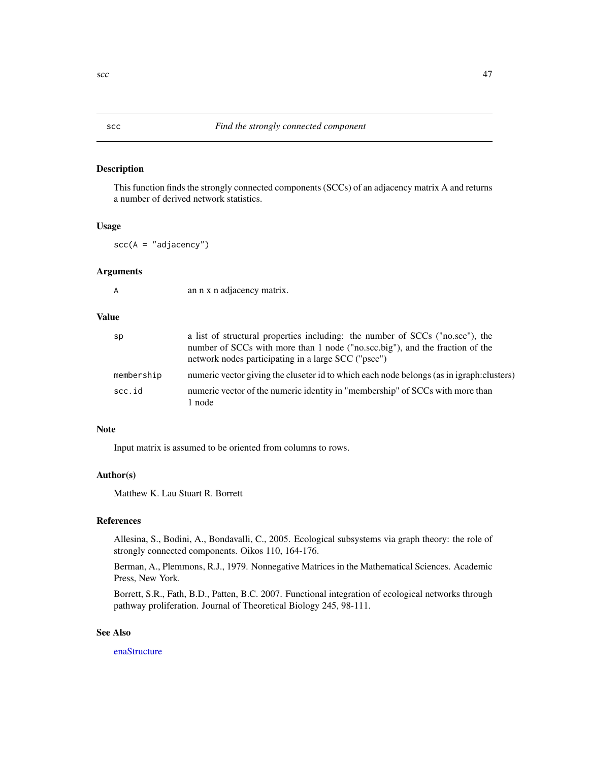<span id="page-46-1"></span><span id="page-46-0"></span>This function finds the strongly connected components (SCCs) of an adjacency matrix A and returns a number of derived network statistics.

## Usage

 $scc(A = "adjacency")$ 

#### Arguments

an n x n adjacency matrix.

### Value

| sp         | a list of structural properties including: the number of SCCs ("no.scc"), the<br>number of SCCs with more than 1 node ("no.scc.big"), and the fraction of the<br>network nodes participating in a large SCC ("pscc") |
|------------|----------------------------------------------------------------------------------------------------------------------------------------------------------------------------------------------------------------------|
| membership | numeric vector giving the cluseter id to which each node belongs (as in igraph: clusters)                                                                                                                            |
| scc.id     | numeric vector of the numeric identity in "membership" of SCCs with more than<br>1 node                                                                                                                              |

#### Note

Input matrix is assumed to be oriented from columns to rows.

## Author(s)

Matthew K. Lau Stuart R. Borrett

#### References

Allesina, S., Bodini, A., Bondavalli, C., 2005. Ecological subsystems via graph theory: the role of strongly connected components. Oikos 110, 164-176.

Berman, A., Plemmons, R.J., 1979. Nonnegative Matrices in the Mathematical Sciences. Academic Press, New York.

Borrett, S.R., Fath, B.D., Patten, B.C. 2007. Functional integration of ecological networks through pathway proliferation. Journal of Theoretical Biology 245, 98-111.

## See Also

[enaStructure](#page-23-1)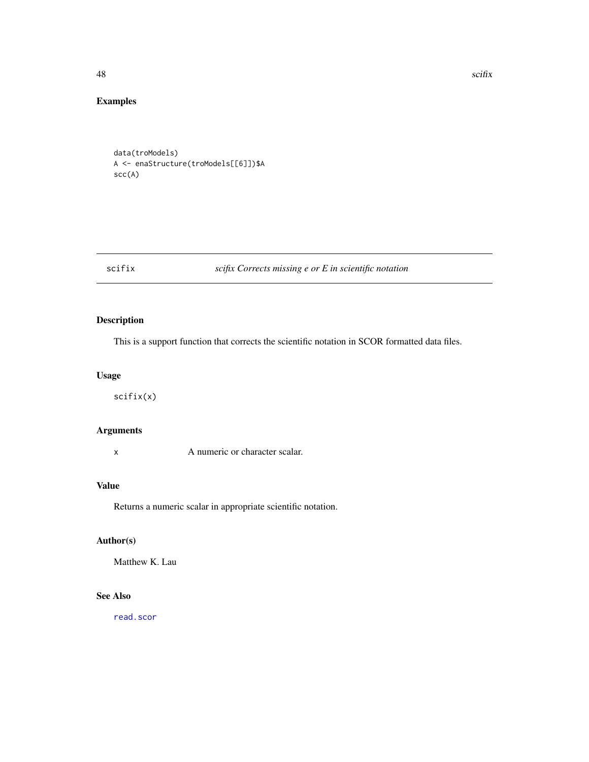48 scifix and the set of the set of the set of the set of the set of the set of the set of the set of the set of the set of the set of the set of the set of the set of the set of the set of the set of the set of the set of

## Examples

data(troModels) A <- enaStructure(troModels[[6]])\$A scc(A)

## scifix *scifix Corrects missing e or E in scientific notation*

## Description

This is a support function that corrects the scientific notation in SCOR formatted data files.

## Usage

scifix(x)

## Arguments

x A numeric or character scalar.

## Value

Returns a numeric scalar in appropriate scientific notation.

## Author(s)

Matthew K. Lau

## See Also

[read.scor](#page-43-1)

<span id="page-47-0"></span>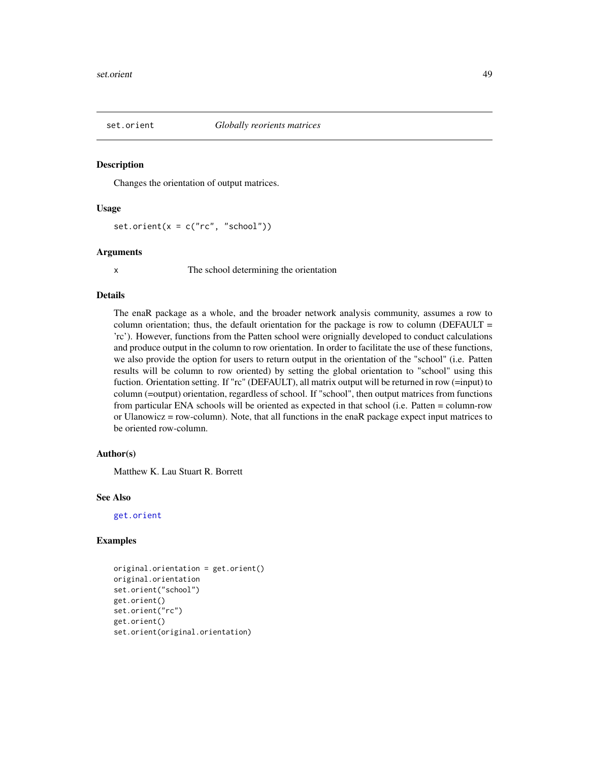<span id="page-48-0"></span>

Changes the orientation of output matrices.

#### Usage

set.orient( $x = c("rc", "school")$ )

#### Arguments

x The school determining the orientation

## Details

The enaR package as a whole, and the broader network analysis community, assumes a row to column orientation; thus, the default orientation for the package is row to column (DEFAULT  $=$ 'rc'). However, functions from the Patten school were orignially developed to conduct calculations and produce output in the column to row orientation. In order to facilitate the use of these functions, we also provide the option for users to return output in the orientation of the "school" (i.e. Patten results will be column to row oriented) by setting the global orientation to "school" using this fuction. Orientation setting. If "rc" (DEFAULT), all matrix output will be returned in row (=input) to column (=output) orientation, regardless of school. If "school", then output matrices from functions from particular ENA schools will be oriented as expected in that school (i.e. Patten = column-row or Ulanowicz = row-column). Note, that all functions in the enaR package expect input matrices to be oriented row-column.

#### Author(s)

Matthew K. Lau Stuart R. Borrett

## See Also

[get.orient](#page-36-1)

#### Examples

```
original.orientation = get.orient()
original.orientation
set.orient("school")
get.orient()
set.orient("rc")
get.orient()
set.orient(original.orientation)
```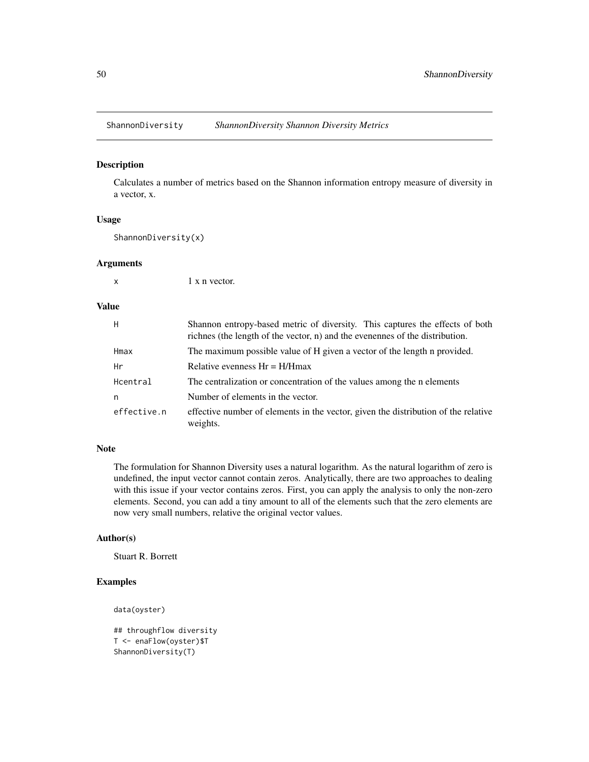<span id="page-49-0"></span>

Calculates a number of metrics based on the Shannon information entropy measure of diversity in a vector, x.

#### Usage

ShannonDiversity(x)

#### Arguments

x 1 x n vector.

## Value

| H           | Shannon entropy-based metric of diversity. This captures the effects of both<br>richnes (the length of the vector, n) and the evenennes of the distribution. |
|-------------|--------------------------------------------------------------------------------------------------------------------------------------------------------------|
| Hmax        | The maximum possible value of H given a vector of the length n provided.                                                                                     |
| Hr          | Relative evenness $Hr = H/Hmax$                                                                                                                              |
| Hcentral    | The centralization or concentration of the values among the n elements                                                                                       |
| n           | Number of elements in the vector.                                                                                                                            |
| effective.n | effective number of elements in the vector, given the distribution of the relative<br>weights.                                                               |

#### Note

The formulation for Shannon Diversity uses a natural logarithm. As the natural logarithm of zero is undefined, the input vector cannot contain zeros. Analytically, there are two approaches to dealing with this issue if your vector contains zeros. First, you can apply the analysis to only the non-zero elements. Second, you can add a tiny amount to all of the elements such that the zero elements are now very small numbers, relative the original vector values.

#### Author(s)

Stuart R. Borrett

## Examples

```
data(oyster)
```

```
## throughflow diversity
T <- enaFlow(oyster)$T
ShannonDiversity(T)
```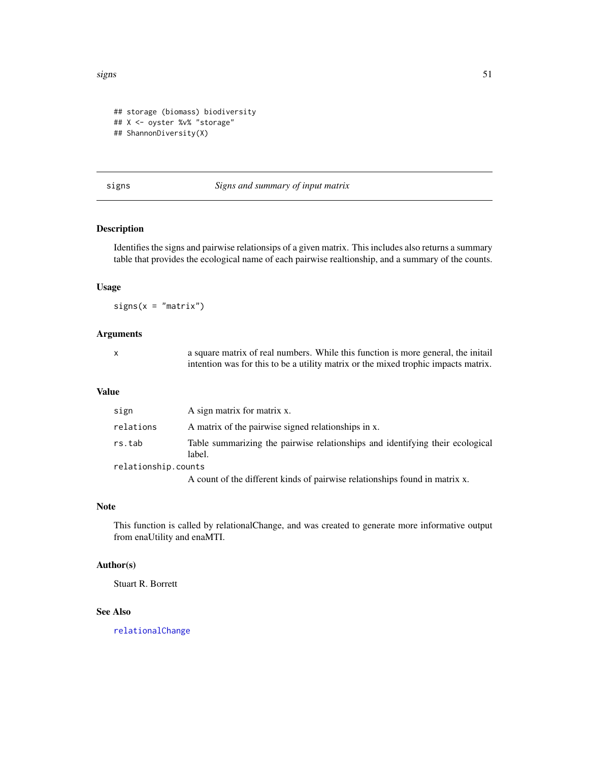```
## storage (biomass) biodiversity
## X <- oyster %v% "storage"
## ShannonDiversity(X)
```
#### <span id="page-50-1"></span>signs *Signs and summary of input matrix*

## Description

Identifies the signs and pairwise relationsips of a given matrix. This includes also returns a summary table that provides the ecological name of each pairwise realtionship, and a summary of the counts.

#### Usage

 $signs(x = "matrix")$ 

## Arguments

x a square matrix of real numbers. While this function is more general, the initail intention was for this to be a utility matrix or the mixed trophic impacts matrix.

## Value

| sign                | A sign matrix for matrix x.                                                             |
|---------------------|-----------------------------------------------------------------------------------------|
| relations           | A matrix of the pairwise signed relationships in x.                                     |
| rs.tab              | Table summarizing the pairwise relationships and identifying their ecological<br>label. |
| relationship.counts |                                                                                         |
|                     | A count of the different kinds of pairwise relationships found in matrix x.             |

#### Note

This function is called by relationalChange, and was created to generate more informative output from enaUtility and enaMTI.

#### Author(s)

Stuart R. Borrett

#### See Also

[relationalChange](#page-45-1)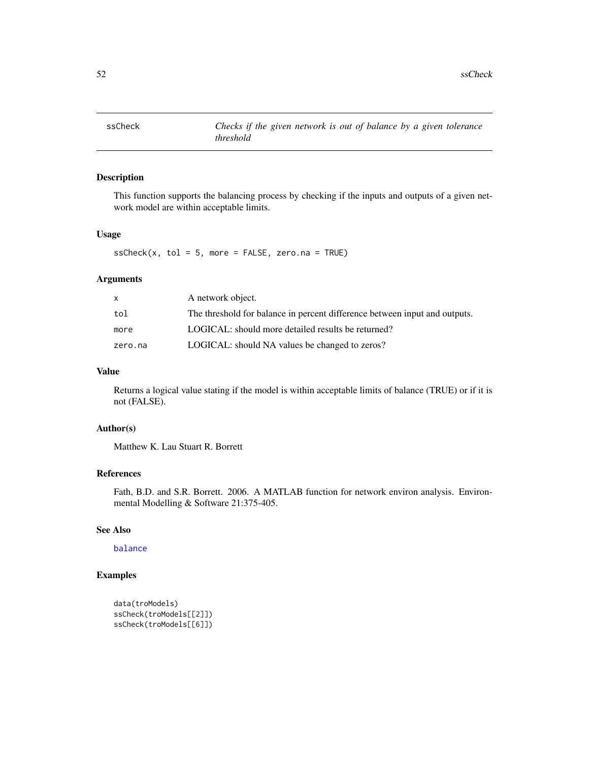<span id="page-51-0"></span>

This function supports the balancing process by checking if the inputs and outputs of a given network model are within acceptable limits.

## Usage

 $ssCheck(x, tol = 5, more = FALSE, zero.na = TRUE)$ 

#### Arguments

|         | A network object.                                                          |
|---------|----------------------------------------------------------------------------|
| tol     | The threshold for balance in percent difference between input and outputs. |
| more    | LOGICAL: should more detailed results be returned?                         |
| zero.na | LOGICAL: should NA values be changed to zeros?                             |

## Value

Returns a logical value stating if the model is within acceptable limits of balance (TRUE) or if it is not (FALSE).

## Author(s)

Matthew K. Lau Stuart R. Borrett

## References

Fath, B.D. and S.R. Borrett. 2006. A MATLAB function for network environ analysis. Environmental Modelling & Software 21:375-405.

## See Also

## [balance](#page-5-1)

## Examples

```
data(troModels)
ssCheck(troModels[[2]])
ssCheck(troModels[[6]])
```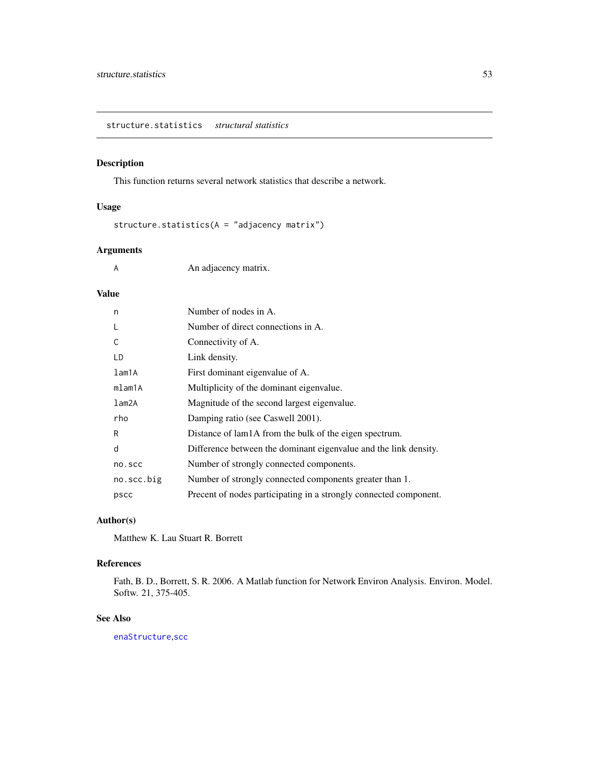<span id="page-52-1"></span><span id="page-52-0"></span>This function returns several network statistics that describe a network.

## Usage

structure.statistics(A = "adjacency matrix")

## Arguments

A An adjacency matrix.

## Value

| n          | Number of nodes in A.                                             |
|------------|-------------------------------------------------------------------|
| L          | Number of direct connections in A.                                |
| C          | Connectivity of A.                                                |
| LD         | Link density.                                                     |
| lam1A      | First dominant eigenvalue of A.                                   |
| mlam1A     | Multiplicity of the dominant eigenvalue.                          |
| lam2A      | Magnitude of the second largest eigenvalue.                       |
| rho        | Damping ratio (see Caswell 2001).                                 |
| R          | Distance of lam1A from the bulk of the eigen spectrum.            |
| d          | Difference between the dominant eigenvalue and the link density.  |
| no.scc     | Number of strongly connected components.                          |
| no.scc.big | Number of strongly connected components greater than 1.           |
| pscc       | Precent of nodes participating in a strongly connected component. |

## Author(s)

Matthew K. Lau Stuart R. Borrett

## References

Fath, B. D., Borrett, S. R. 2006. A Matlab function for Network Environ Analysis. Environ. Model. Softw. 21, 375-405.

## See Also

[enaStructure](#page-23-1),[scc](#page-46-1)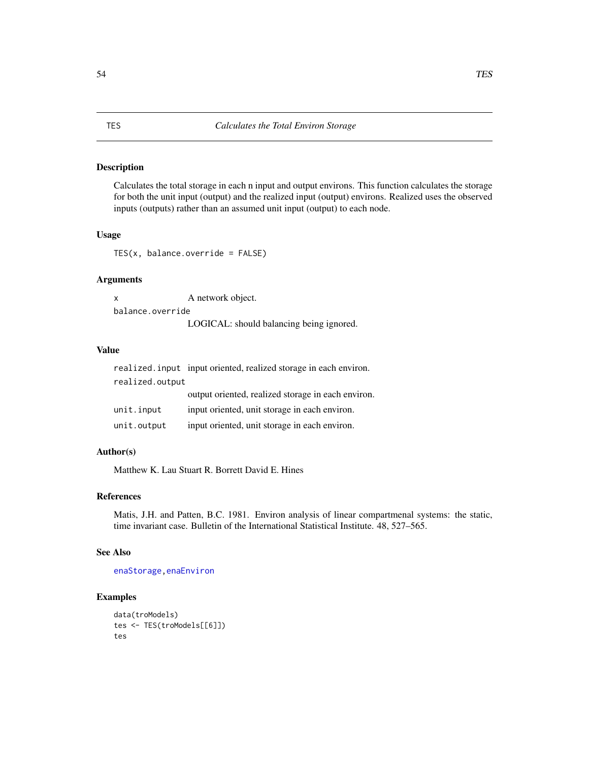<span id="page-53-0"></span>Calculates the total storage in each n input and output environs. This function calculates the storage for both the unit input (output) and the realized input (output) environs. Realized uses the observed inputs (outputs) rather than an assumed unit input (output) to each node.

## Usage

TES(x, balance.override = FALSE)

## Arguments

x A network object. balance.override LOGICAL: should balancing being ignored.

#### Value

|                 | realized. input input oriented, realized storage in each environ. |  |
|-----------------|-------------------------------------------------------------------|--|
| realized.output |                                                                   |  |
|                 | output oriented, realized storage in each environ.                |  |
| unit.input      | input oriented, unit storage in each environ.                     |  |
| unit.output     | input oriented, unit storage in each environ.                     |  |

#### Author(s)

Matthew K. Lau Stuart R. Borrett David E. Hines

## References

Matis, J.H. and Patten, B.C. 1981. Environ analysis of linear compartmenal systems: the static, time invariant case. Bulletin of the International Statistical Institute. 48, 527–565.

## See Also

[enaStorage](#page-21-1)[,enaEnviron](#page-16-1)

## Examples

```
data(troModels)
tes <- TES(troModels[[6]])
tes
```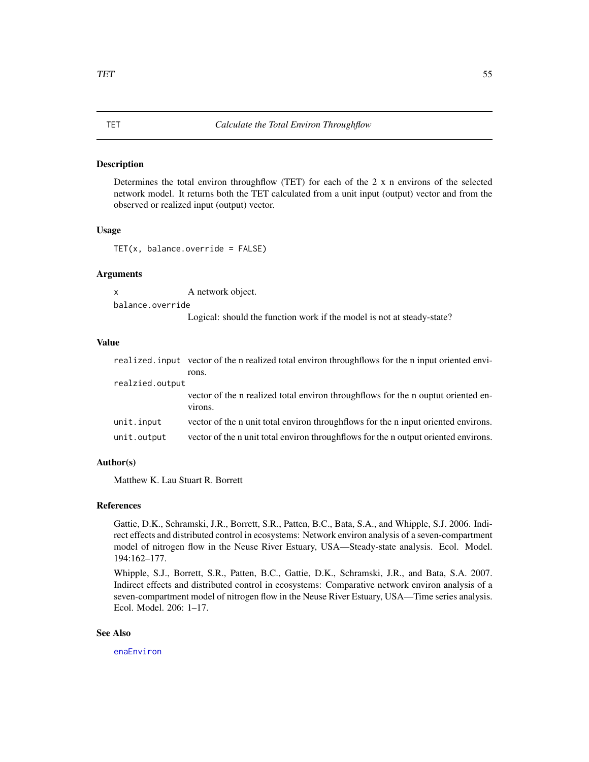<span id="page-54-0"></span>Determines the total environ throughflow (TET) for each of the 2 x n environs of the selected network model. It returns both the TET calculated from a unit input (output) vector and from the observed or realized input (output) vector.

#### Usage

TET(x, balance.override = FALSE)

#### Arguments

x A network object. balance.override

Logical: should the function work if the model is not at steady-state?

#### Value

|                 | realized, input vector of the n realized total environ throughflows for the n input oriented envi- |
|-----------------|----------------------------------------------------------------------------------------------------|
|                 | rons.                                                                                              |
| realzied.output |                                                                                                    |
|                 | vector of the n realized total environ throughflows for the n ouptut oriented en-<br>virons.       |
| unit.input      | vector of the n unit total environ throughflows for the n input oriented environs.                 |
| unit.output     | vector of the n unit total environ throughflows for the n output oriented environs.                |

#### Author(s)

Matthew K. Lau Stuart R. Borrett

#### References

Gattie, D.K., Schramski, J.R., Borrett, S.R., Patten, B.C., Bata, S.A., and Whipple, S.J. 2006. Indirect effects and distributed control in ecosystems: Network environ analysis of a seven-compartment model of nitrogen flow in the Neuse River Estuary, USA—Steady-state analysis. Ecol. Model. 194:162–177.

Whipple, S.J., Borrett, S.R., Patten, B.C., Gattie, D.K., Schramski, J.R., and Bata, S.A. 2007. Indirect effects and distributed control in ecosystems: Comparative network environ analysis of a seven-compartment model of nitrogen flow in the Neuse River Estuary, USA—Time series analysis. Ecol. Model. 206: 1–17.

#### See Also

[enaEnviron](#page-16-1)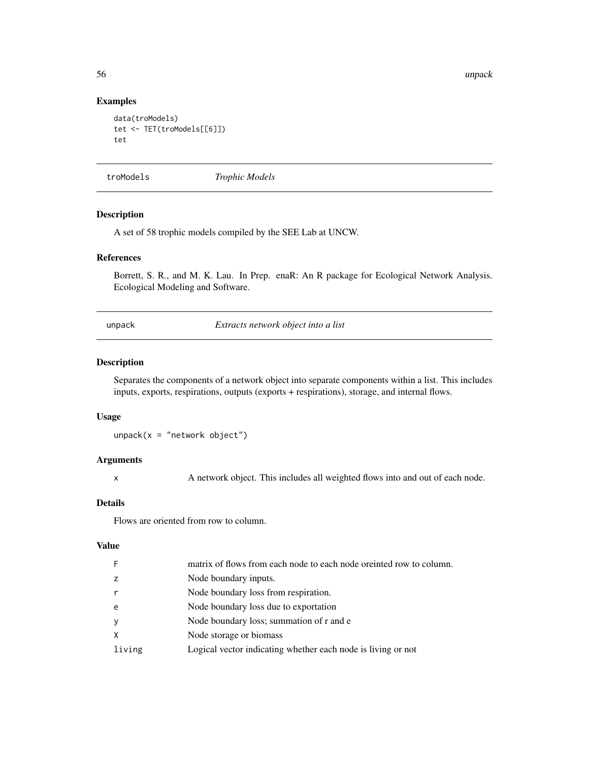56 unpack to the control of the control of the control of the control of the control of the control of the control of the control of the control of the control of the control of the control of the control of the control of

## Examples

```
data(troModels)
tet <- TET(troModels[[6]])
tet
```
troModels *Trophic Models*

## Description

A set of 58 trophic models compiled by the SEE Lab at UNCW.

## References

Borrett, S. R., and M. K. Lau. In Prep. enaR: An R package for Ecological Network Analysis. Ecological Modeling and Software.

<span id="page-55-1"></span>unpack *Extracts network object into a list*

## Description

Separates the components of a network object into separate components within a list. This includes inputs, exports, respirations, outputs (exports + respirations), storage, and internal flows.

#### Usage

 $unpack(x = "network object")$ 

## Arguments

x A network object. This includes all weighted flows into and out of each node.

#### Details

Flows are oriented from row to column.

## Value

| F      | matrix of flows from each node to each node oriented row to column. |
|--------|---------------------------------------------------------------------|
| z      | Node boundary inputs.                                               |
| r      | Node boundary loss from respiration.                                |
| e      | Node boundary loss due to exportation                               |
| У      | Node boundary loss; summation of r and e                            |
| X      | Node storage or biomass                                             |
| living | Logical vector indicating whether each node is living or not        |
|        |                                                                     |

<span id="page-55-0"></span>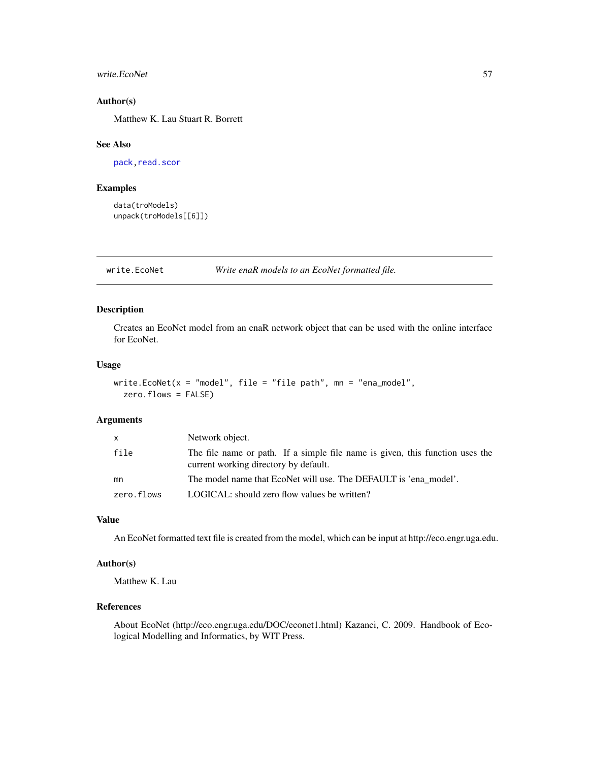#### <span id="page-56-0"></span>write.EcoNet 57

#### Author(s)

Matthew K. Lau Stuart R. Borrett

#### See Also

[pack](#page-40-1), read. scor

## Examples

```
data(troModels)
unpack(troModels[[6]])
```
write.EcoNet *Write enaR models to an EcoNet formatted file.*

## Description

Creates an EcoNet model from an enaR network object that can be used with the online interface for EcoNet.

## Usage

```
write.EcoNet(x = "model", file = "file path", mn = "ena_model",
 zero.flows = FALSE)
```
#### Arguments

| X          | Network object.                                                                                                        |
|------------|------------------------------------------------------------------------------------------------------------------------|
| file       | The file name or path. If a simple file name is given, this function uses the<br>current working directory by default. |
| mn         | The model name that EcoNet will use. The DEFAULT is 'ena model'.                                                       |
| zero.flows | LOGICAL: should zero flow values be written?                                                                           |

#### Value

An EcoNet formatted text file is created from the model, which can be input at http://eco.engr.uga.edu.

#### Author(s)

Matthew K. Lau

#### References

About EcoNet (http://eco.engr.uga.edu/DOC/econet1.html) Kazanci, C. 2009. Handbook of Ecological Modelling and Informatics, by WIT Press.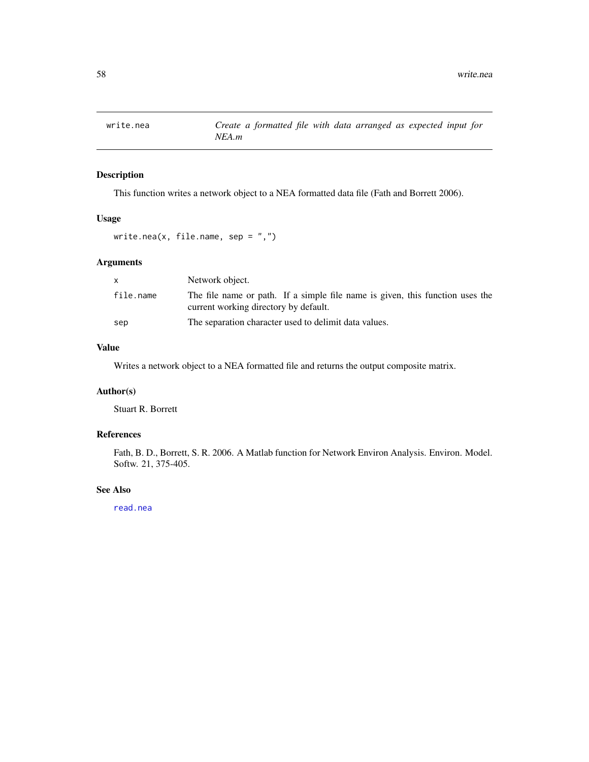<span id="page-57-1"></span><span id="page-57-0"></span>

This function writes a network object to a NEA formatted data file (Fath and Borrett 2006).

## Usage

write.nea(x, file.name, sep =  $",")$ 

## Arguments

| X         | Network object.                                                                                                        |
|-----------|------------------------------------------------------------------------------------------------------------------------|
| file.name | The file name or path. If a simple file name is given, this function uses the<br>current working directory by default. |
| sep       | The separation character used to delimit data values.                                                                  |

## Value

Writes a network object to a NEA formatted file and returns the output composite matrix.

## Author(s)

Stuart R. Borrett

## References

Fath, B. D., Borrett, S. R. 2006. A Matlab function for Network Environ Analysis. Environ. Model. Softw. 21, 375-405.

## See Also

[read.nea](#page-42-1)